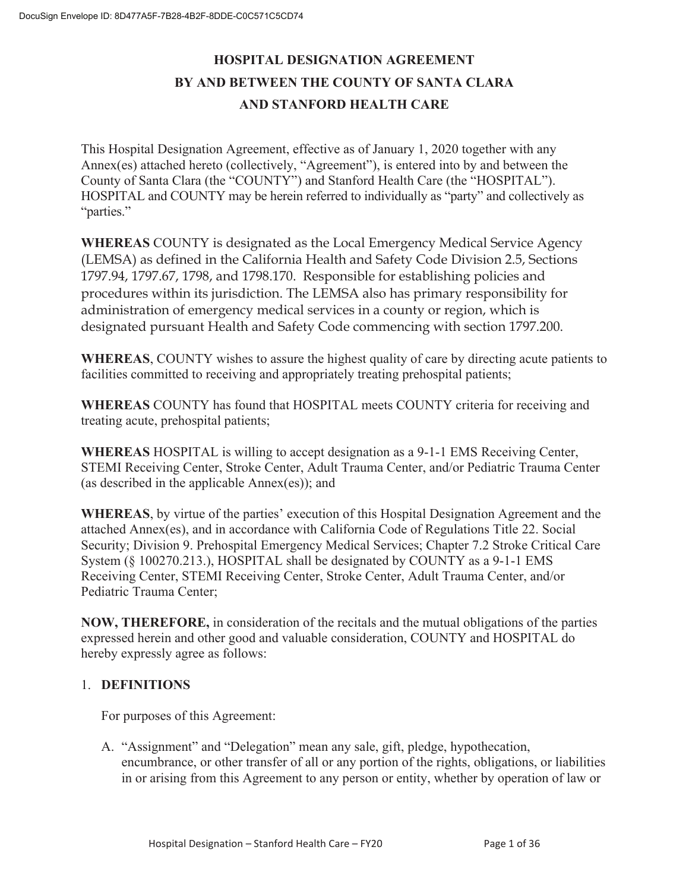## **HOSPITAL DESIGNATION AGREEMENT BY AND BETWEEN THE COUNTY OF SANTA CLARA AND STANFORD HEALTH CARE**

This Hospital Designation Agreement, effective as of January 1, 2020 together with any Annex(es) attached hereto (collectively, "Agreement"), is entered into by and between the County of Santa Clara (the "COUNTY") and Stanford Health Care (the "HOSPITAL"). HOSPITAL and COUNTY may be herein referred to individually as "party" and collectively as "parties."

**WHEREAS** COUNTY is designated as the Local Emergency Medical Service Agency (LEMSA) as defined in the California Health and Safety Code Division 2.5, Sections 1797.94, 1797.67, 1798, and 1798.170. Responsible for establishing policies and procedures within its jurisdiction. The LEMSA also has primary responsibility for administration of emergency medical services in a county or region, which is designated pursuant Health and Safety Code commencing with section 1797.200.

**WHEREAS**, COUNTY wishes to assure the highest quality of care by directing acute patients to facilities committed to receiving and appropriately treating prehospital patients;

**WHEREAS** COUNTY has found that HOSPITAL meets COUNTY criteria for receiving and treating acute, prehospital patients;

**WHEREAS** HOSPITAL is willing to accept designation as a 9-1-1 EMS Receiving Center, STEMI Receiving Center, Stroke Center, Adult Trauma Center, and/or Pediatric Trauma Center (as described in the applicable Annex(es)); and

**WHEREAS**, by virtue of the parties' execution of this Hospital Designation Agreement and the attached Annex(es), and in accordance with California Code of Regulations Title 22. Social Security; Division 9. Prehospital Emergency Medical Services; Chapter 7.2 Stroke Critical Care System (§ 100270.213.), HOSPITAL shall be designated by COUNTY as a 9-1-1 EMS Receiving Center, STEMI Receiving Center, Stroke Center, Adult Trauma Center, and/or Pediatric Trauma Center;

**NOW, THEREFORE,** in consideration of the recitals and the mutual obligations of the parties expressed herein and other good and valuable consideration, COUNTY and HOSPITAL do hereby expressly agree as follows:

#### 1. **DEFINITIONS**

For purposes of this Agreement:

A. "Assignment" and "Delegation" mean any sale, gift, pledge, hypothecation, encumbrance, or other transfer of all or any portion of the rights, obligations, or liabilities in or arising from this Agreement to any person or entity, whether by operation of law or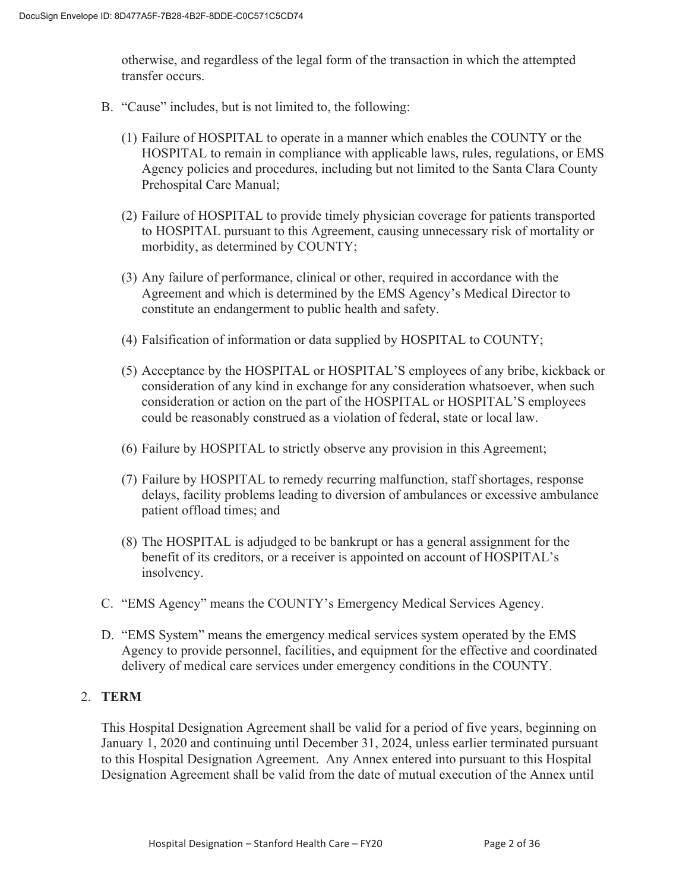otherwise, and regardless of the legal form of the transaction in which the attempted transfer occurs.

- B. "Cause" includes, but is not limited to, the following:
	- (1) Failure of HOSPITAL to operate in a manner which enables the COUNTY or the HOSPITAL to remain in compliance with applicable laws, rules, regulations, or EMS Agency policies and procedures, including but not limited to the Santa Clara County Prehospital Care Manual;
	- (2) Failure of HOSPITAL to provide timely physician coverage for patients transported to HOSPITAL pursuant to this Agreement, causing unnecessary risk of mortality or morbidity, as determined by COUNTY;
	- (3) Any failure of performance, clinical or other, required in accordance with the Agreement and which is determined by the EMS Agency's Medical Director to constitute an endangerment to public health and safety.
	- (4) Falsification of information or data supplied by HOSPITAL to COUNTY;
	- (5) Acceptance by the HOSPITAL or HOSPITAL'S employees of any bribe, kickback or consideration of any kind in exchange for any consideration whatsoever, when such consideration or action on the part of the HOSPITAL or HOSPITAL'S employees could be reasonably construed as a violation of federal, state or local law.
	- (6) Failure by HOSPITAL to strictly observe any provision in this Agreement;
	- (7) Failure by HOSPITAL to remedy recurring malfunction, staff shortages, response delays, facility problems leading to diversion of ambulances or excessive ambulance patient offload times; and
	- (8) The HOSPITAL is adjudged to be bankrupt or has a general assignment for the benefit of its creditors, or a receiver is appointed on account of HOSPITAL's insolvency.
- C. "EMS Agency" means the COUNTY's Emergency Medical Services Agency.
- D. "EMS System" means the emergency medical services system operated by the EMS Agency to provide personnel, facilities, and equipment for the effective and coordinated delivery of medical care services under emergency conditions in the COUNTY.

#### 2. **TERM**

This Hospital Designation Agreement shall be valid for a period of five years, beginning on January 1, 2020 and continuing until December 31, 2024, unless earlier terminated pursuant to this Hospital Designation Agreement. Any Annex entered into pursuant to this Hospital Designation Agreement shall be valid from the date of mutual execution of the Annex until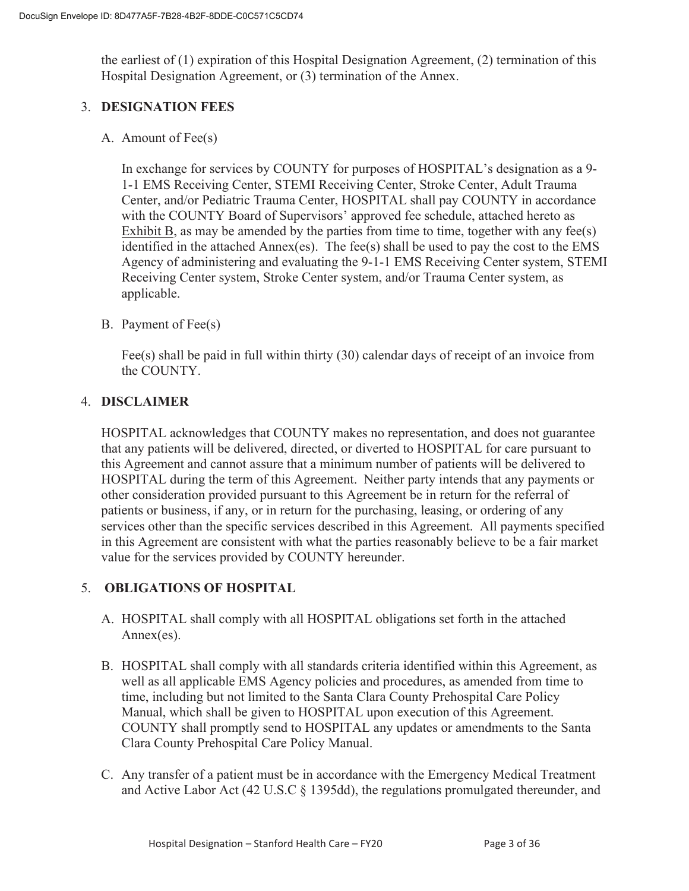the earliest of (1) expiration of this Hospital Designation Agreement, (2) termination of this Hospital Designation Agreement, or (3) termination of the Annex.

#### 3. **DESIGNATION FEES**

A. Amount of Fee(s)

In exchange for services by COUNTY for purposes of HOSPITAL's designation as a 9- 1-1 EMS Receiving Center, STEMI Receiving Center, Stroke Center, Adult Trauma Center, and/or Pediatric Trauma Center, HOSPITAL shall pay COUNTY in accordance with the COUNTY Board of Supervisors' approved fee schedule, attached hereto as Exhibit B, as may be amended by the parties from time to time, together with any fee(s) identified in the attached Annex(es). The fee(s) shall be used to pay the cost to the EMS Agency of administering and evaluating the 9-1-1 EMS Receiving Center system, STEMI Receiving Center system, Stroke Center system, and/or Trauma Center system, as applicable.

#### B. Payment of Fee(s)

Fee(s) shall be paid in full within thirty (30) calendar days of receipt of an invoice from the COUNTY.

#### 4. **DISCLAIMER**

HOSPITAL acknowledges that COUNTY makes no representation, and does not guarantee that any patients will be delivered, directed, or diverted to HOSPITAL for care pursuant to this Agreement and cannot assure that a minimum number of patients will be delivered to HOSPITAL during the term of this Agreement. Neither party intends that any payments or other consideration provided pursuant to this Agreement be in return for the referral of patients or business, if any, or in return for the purchasing, leasing, or ordering of any services other than the specific services described in this Agreement. All payments specified in this Agreement are consistent with what the parties reasonably believe to be a fair market value for the services provided by COUNTY hereunder.

#### 5. **OBLIGATIONS OF HOSPITAL**

- A. HOSPITAL shall comply with all HOSPITAL obligations set forth in the attached Annex(es).
- B. HOSPITAL shall comply with all standards criteria identified within this Agreement, as well as all applicable EMS Agency policies and procedures, as amended from time to time, including but not limited to the Santa Clara County Prehospital Care Policy Manual, which shall be given to HOSPITAL upon execution of this Agreement. COUNTY shall promptly send to HOSPITAL any updates or amendments to the Santa Clara County Prehospital Care Policy Manual.
- C. Any transfer of a patient must be in accordance with the Emergency Medical Treatment and Active Labor Act (42 U.S.C § 1395dd), the regulations promulgated thereunder, and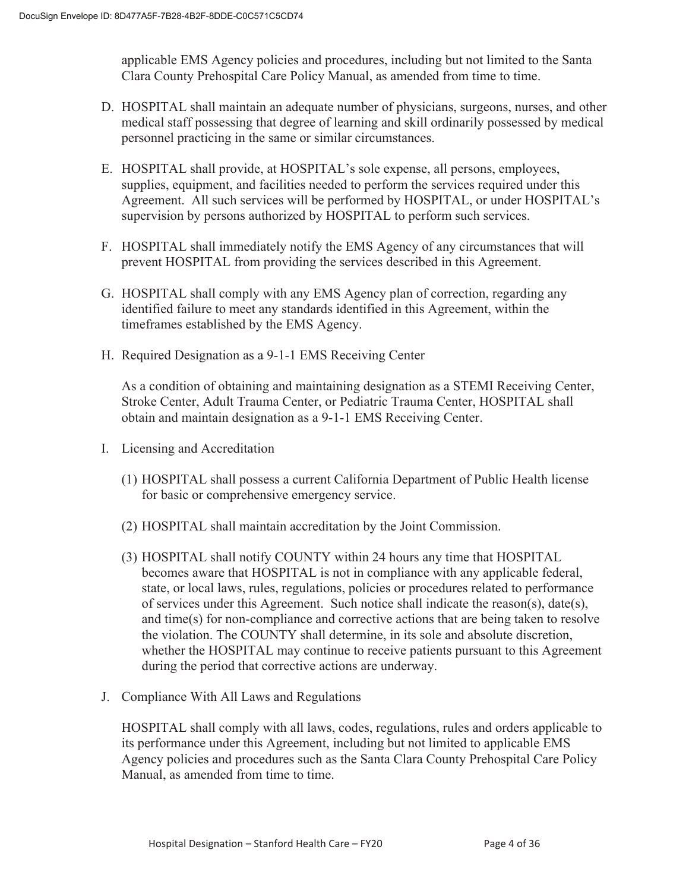applicable EMS Agency policies and procedures, including but not limited to the Santa Clara County Prehospital Care Policy Manual, as amended from time to time.

- D. HOSPITAL shall maintain an adequate number of physicians, surgeons, nurses, and other medical staff possessing that degree of learning and skill ordinarily possessed by medical personnel practicing in the same or similar circumstances.
- E. HOSPITAL shall provide, at HOSPITAL's sole expense, all persons, employees, supplies, equipment, and facilities needed to perform the services required under this Agreement. All such services will be performed by HOSPITAL, or under HOSPITAL's supervision by persons authorized by HOSPITAL to perform such services.
- F. HOSPITAL shall immediately notify the EMS Agency of any circumstances that will prevent HOSPITAL from providing the services described in this Agreement.
- G. HOSPITAL shall comply with any EMS Agency plan of correction, regarding any identified failure to meet any standards identified in this Agreement, within the timeframes established by the EMS Agency.
- H. Required Designation as a 9-1-1 EMS Receiving Center

As a condition of obtaining and maintaining designation as a STEMI Receiving Center, Stroke Center, Adult Trauma Center, or Pediatric Trauma Center, HOSPITAL shall obtain and maintain designation as a 9-1-1 EMS Receiving Center.

- I. Licensing and Accreditation
	- (1) HOSPITAL shall possess a current California Department of Public Health license for basic or comprehensive emergency service.
	- (2) HOSPITAL shall maintain accreditation by the Joint Commission.
	- (3) HOSPITAL shall notify COUNTY within 24 hours any time that HOSPITAL becomes aware that HOSPITAL is not in compliance with any applicable federal, state, or local laws, rules, regulations, policies or procedures related to performance of services under this Agreement. Such notice shall indicate the reason(s), date(s), and time(s) for non-compliance and corrective actions that are being taken to resolve the violation. The COUNTY shall determine, in its sole and absolute discretion, whether the HOSPITAL may continue to receive patients pursuant to this Agreement during the period that corrective actions are underway.
- J. Compliance With All Laws and Regulations

HOSPITAL shall comply with all laws, codes, regulations, rules and orders applicable to its performance under this Agreement, including but not limited to applicable EMS Agency policies and procedures such as the Santa Clara County Prehospital Care Policy Manual, as amended from time to time.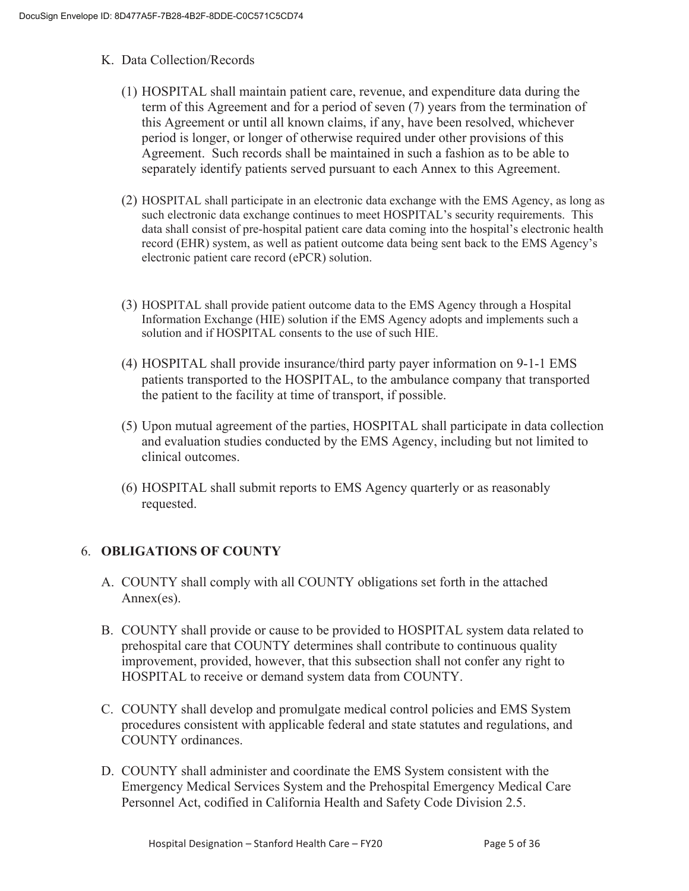- K. Data Collection/Records
	- (1) HOSPITAL shall maintain patient care, revenue, and expenditure data during the term of this Agreement and for a period of seven (7) years from the termination of this Agreement or until all known claims, if any, have been resolved, whichever period is longer, or longer of otherwise required under other provisions of this Agreement. Such records shall be maintained in such a fashion as to be able to separately identify patients served pursuant to each Annex to this Agreement.
	- (2) HOSPITAL shall participate in an electronic data exchange with the EMS Agency, as long as such electronic data exchange continues to meet HOSPITAL's security requirements. This data shall consist of pre-hospital patient care data coming into the hospital's electronic health record (EHR) system, as well as patient outcome data being sent back to the EMS Agency's electronic patient care record (ePCR) solution.
	- (3) HOSPITAL shall provide patient outcome data to the EMS Agency through a Hospital Information Exchange (HIE) solution if the EMS Agency adopts and implements such a solution and if HOSPITAL consents to the use of such HIE.
	- (4) HOSPITAL shall provide insurance/third party payer information on 9-1-1 EMS patients transported to the HOSPITAL, to the ambulance company that transported the patient to the facility at time of transport, if possible.
	- (5) Upon mutual agreement of the parties, HOSPITAL shall participate in data collection and evaluation studies conducted by the EMS Agency, including but not limited to clinical outcomes.
	- (6) HOSPITAL shall submit reports to EMS Agency quarterly or as reasonably requested.

#### 6. **OBLIGATIONS OF COUNTY**

- A. COUNTY shall comply with all COUNTY obligations set forth in the attached Annex(es).
- B. COUNTY shall provide or cause to be provided to HOSPITAL system data related to prehospital care that COUNTY determines shall contribute to continuous quality improvement, provided, however, that this subsection shall not confer any right to HOSPITAL to receive or demand system data from COUNTY.
- C. COUNTY shall develop and promulgate medical control policies and EMS System procedures consistent with applicable federal and state statutes and regulations, and COUNTY ordinances.
- D. COUNTY shall administer and coordinate the EMS System consistent with the Emergency Medical Services System and the Prehospital Emergency Medical Care Personnel Act, codified in California Health and Safety Code Division 2.5.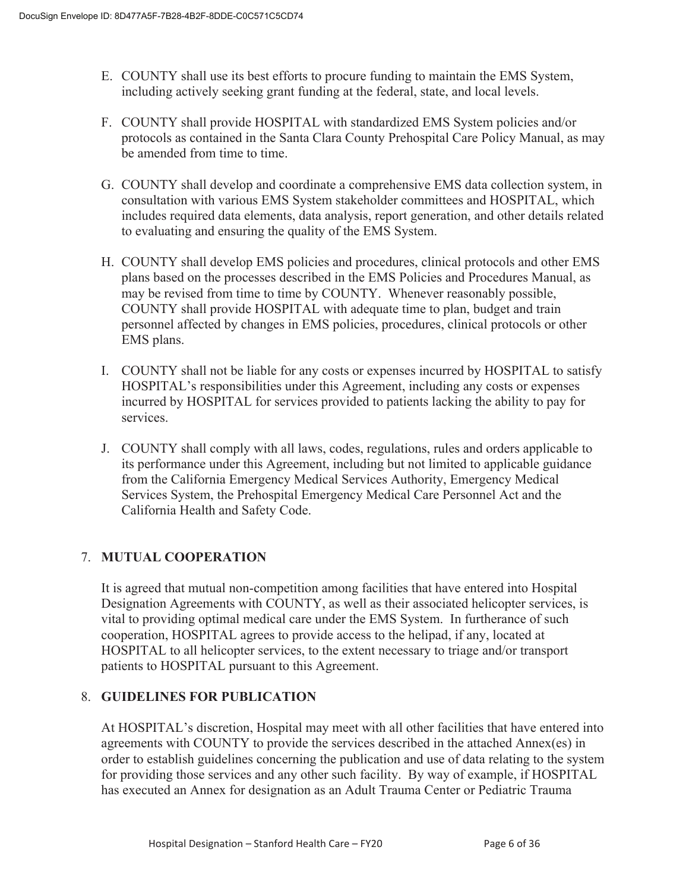- E. COUNTY shall use its best efforts to procure funding to maintain the EMS System, including actively seeking grant funding at the federal, state, and local levels.
- F. COUNTY shall provide HOSPITAL with standardized EMS System policies and/or protocols as contained in the Santa Clara County Prehospital Care Policy Manual, as may be amended from time to time.
- G. COUNTY shall develop and coordinate a comprehensive EMS data collection system, in consultation with various EMS System stakeholder committees and HOSPITAL, which includes required data elements, data analysis, report generation, and other details related to evaluating and ensuring the quality of the EMS System.
- H. COUNTY shall develop EMS policies and procedures, clinical protocols and other EMS plans based on the processes described in the EMS Policies and Procedures Manual, as may be revised from time to time by COUNTY. Whenever reasonably possible, COUNTY shall provide HOSPITAL with adequate time to plan, budget and train personnel affected by changes in EMS policies, procedures, clinical protocols or other EMS plans.
- I. COUNTY shall not be liable for any costs or expenses incurred by HOSPITAL to satisfy HOSPITAL's responsibilities under this Agreement, including any costs or expenses incurred by HOSPITAL for services provided to patients lacking the ability to pay for services.
- J. COUNTY shall comply with all laws, codes, regulations, rules and orders applicable to its performance under this Agreement, including but not limited to applicable guidance from the California Emergency Medical Services Authority, Emergency Medical Services System, the Prehospital Emergency Medical Care Personnel Act and the California Health and Safety Code.

#### 7. **MUTUAL COOPERATION**

It is agreed that mutual non-competition among facilities that have entered into Hospital Designation Agreements with COUNTY, as well as their associated helicopter services, is vital to providing optimal medical care under the EMS System. In furtherance of such cooperation, HOSPITAL agrees to provide access to the helipad, if any, located at HOSPITAL to all helicopter services, to the extent necessary to triage and/or transport patients to HOSPITAL pursuant to this Agreement.

#### 8. **GUIDELINES FOR PUBLICATION**

At HOSPITAL's discretion, Hospital may meet with all other facilities that have entered into agreements with COUNTY to provide the services described in the attached Annex(es) in order to establish guidelines concerning the publication and use of data relating to the system for providing those services and any other such facility. By way of example, if HOSPITAL has executed an Annex for designation as an Adult Trauma Center or Pediatric Trauma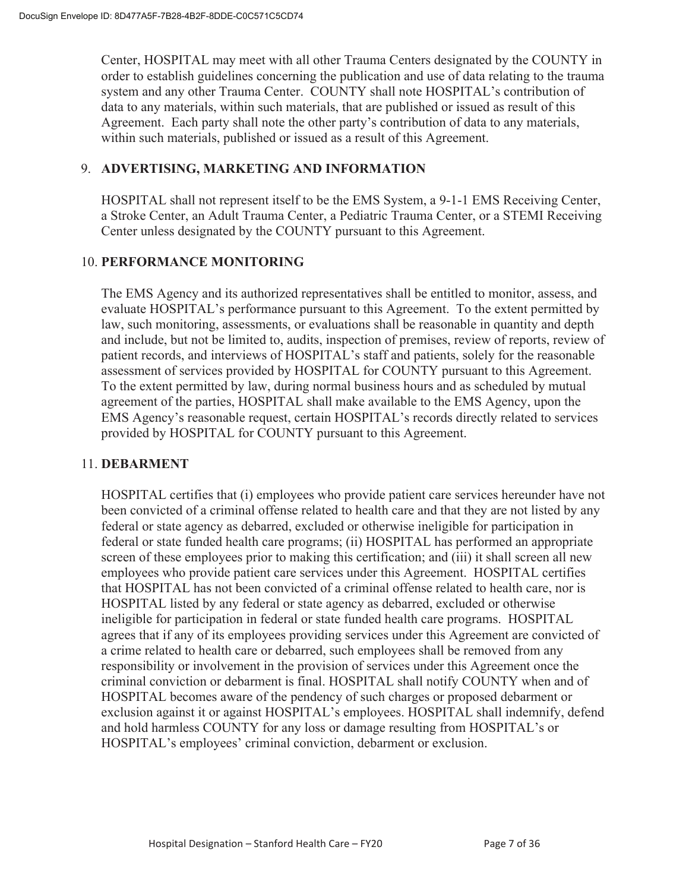Center, HOSPITAL may meet with all other Trauma Centers designated by the COUNTY in order to establish guidelines concerning the publication and use of data relating to the trauma system and any other Trauma Center. COUNTY shall note HOSPITAL's contribution of data to any materials, within such materials, that are published or issued as result of this Agreement. Each party shall note the other party's contribution of data to any materials, within such materials, published or issued as a result of this Agreement.

#### 9. **ADVERTISING, MARKETING AND INFORMATION**

HOSPITAL shall not represent itself to be the EMS System, a 9-1-1 EMS Receiving Center, a Stroke Center, an Adult Trauma Center, a Pediatric Trauma Center, or a STEMI Receiving Center unless designated by the COUNTY pursuant to this Agreement.

#### 10. **PERFORMANCE MONITORING**

The EMS Agency and its authorized representatives shall be entitled to monitor, assess, and evaluate HOSPITAL's performance pursuant to this Agreement. To the extent permitted by law, such monitoring, assessments, or evaluations shall be reasonable in quantity and depth and include, but not be limited to, audits, inspection of premises, review of reports, review of patient records, and interviews of HOSPITAL's staff and patients, solely for the reasonable assessment of services provided by HOSPITAL for COUNTY pursuant to this Agreement. To the extent permitted by law, during normal business hours and as scheduled by mutual agreement of the parties, HOSPITAL shall make available to the EMS Agency, upon the EMS Agency's reasonable request, certain HOSPITAL's records directly related to services provided by HOSPITAL for COUNTY pursuant to this Agreement.

#### 11. **DEBARMENT**

HOSPITAL certifies that (i) employees who provide patient care services hereunder have not been convicted of a criminal offense related to health care and that they are not listed by any federal or state agency as debarred, excluded or otherwise ineligible for participation in federal or state funded health care programs; (ii) HOSPITAL has performed an appropriate screen of these employees prior to making this certification; and (iii) it shall screen all new employees who provide patient care services under this Agreement. HOSPITAL certifies that HOSPITAL has not been convicted of a criminal offense related to health care, nor is HOSPITAL listed by any federal or state agency as debarred, excluded or otherwise ineligible for participation in federal or state funded health care programs. HOSPITAL agrees that if any of its employees providing services under this Agreement are convicted of a crime related to health care or debarred, such employees shall be removed from any responsibility or involvement in the provision of services under this Agreement once the criminal conviction or debarment is final. HOSPITAL shall notify COUNTY when and of HOSPITAL becomes aware of the pendency of such charges or proposed debarment or exclusion against it or against HOSPITAL's employees. HOSPITAL shall indemnify, defend and hold harmless COUNTY for any loss or damage resulting from HOSPITAL's or HOSPITAL's employees' criminal conviction, debarment or exclusion.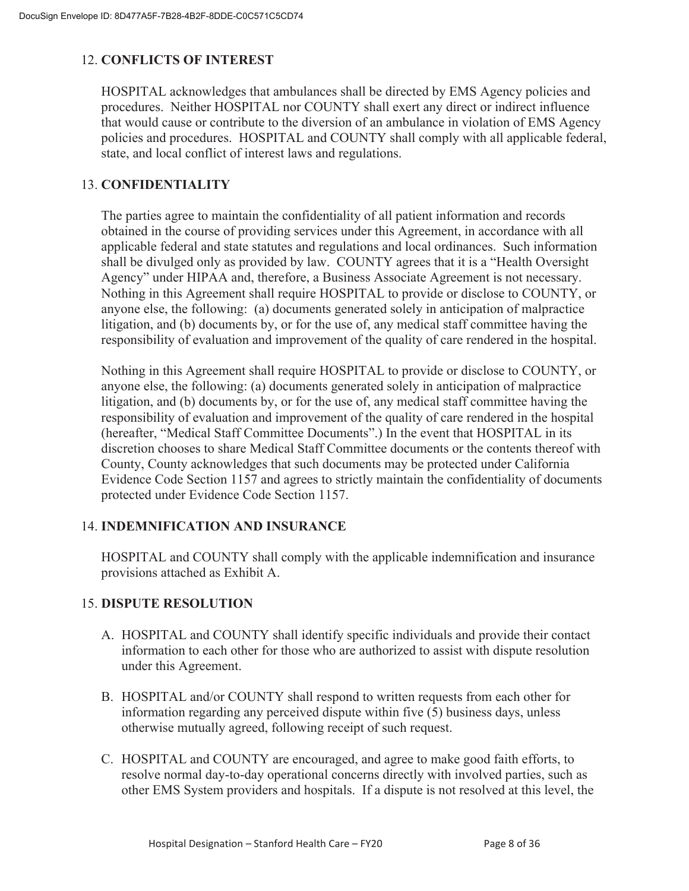#### 12. **CONFLICTS OF INTEREST**

HOSPITAL acknowledges that ambulances shall be directed by EMS Agency policies and procedures. Neither HOSPITAL nor COUNTY shall exert any direct or indirect influence that would cause or contribute to the diversion of an ambulance in violation of EMS Agency policies and procedures. HOSPITAL and COUNTY shall comply with all applicable federal, state, and local conflict of interest laws and regulations.

#### 13. **CONFIDENTIALITY**

The parties agree to maintain the confidentiality of all patient information and records obtained in the course of providing services under this Agreement, in accordance with all applicable federal and state statutes and regulations and local ordinances. Such information shall be divulged only as provided by law. COUNTY agrees that it is a "Health Oversight Agency" under HIPAA and, therefore, a Business Associate Agreement is not necessary. Nothing in this Agreement shall require HOSPITAL to provide or disclose to COUNTY, or anyone else, the following: (a) documents generated solely in anticipation of malpractice litigation, and (b) documents by, or for the use of, any medical staff committee having the responsibility of evaluation and improvement of the quality of care rendered in the hospital.

Nothing in this Agreement shall require HOSPITAL to provide or disclose to COUNTY, or anyone else, the following: (a) documents generated solely in anticipation of malpractice litigation, and (b) documents by, or for the use of, any medical staff committee having the responsibility of evaluation and improvement of the quality of care rendered in the hospital (hereafter, "Medical Staff Committee Documents".) In the event that HOSPITAL in its discretion chooses to share Medical Staff Committee documents or the contents thereof with County, County acknowledges that such documents may be protected under California Evidence Code Section 1157 and agrees to strictly maintain the confidentiality of documents protected under Evidence Code Section 1157.

#### 14. **INDEMNIFICATION AND INSURANCE**

HOSPITAL and COUNTY shall comply with the applicable indemnification and insurance provisions attached as Exhibit A.

#### 15. **DISPUTE RESOLUTION**

- A. HOSPITAL and COUNTY shall identify specific individuals and provide their contact information to each other for those who are authorized to assist with dispute resolution under this Agreement.
- B. HOSPITAL and/or COUNTY shall respond to written requests from each other for information regarding any perceived dispute within five (5) business days, unless otherwise mutually agreed, following receipt of such request.
- C. HOSPITAL and COUNTY are encouraged, and agree to make good faith efforts, to resolve normal day-to-day operational concerns directly with involved parties, such as other EMS System providers and hospitals. If a dispute is not resolved at this level, the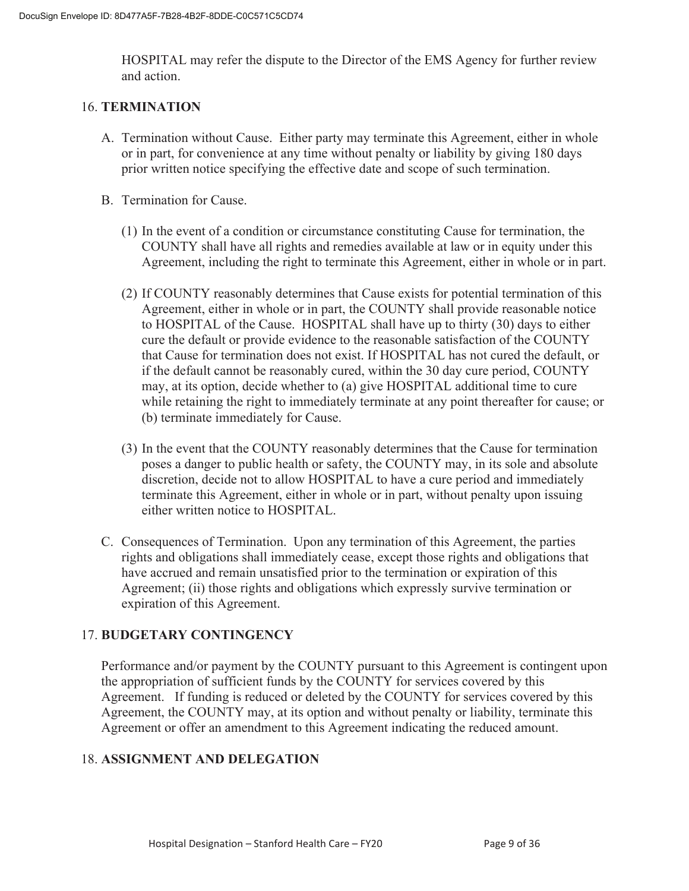HOSPITAL may refer the dispute to the Director of the EMS Agency for further review and action.

#### 16. **TERMINATION**

- A. Termination without Cause. Either party may terminate this Agreement, either in whole or in part, for convenience at any time without penalty or liability by giving 180 days prior written notice specifying the effective date and scope of such termination.
- B. Termination for Cause.
	- (1) In the event of a condition or circumstance constituting Cause for termination, the COUNTY shall have all rights and remedies available at law or in equity under this Agreement, including the right to terminate this Agreement, either in whole or in part.
	- (2) If COUNTY reasonably determines that Cause exists for potential termination of this Agreement, either in whole or in part, the COUNTY shall provide reasonable notice to HOSPITAL of the Cause. HOSPITAL shall have up to thirty (30) days to either cure the default or provide evidence to the reasonable satisfaction of the COUNTY that Cause for termination does not exist. If HOSPITAL has not cured the default, or if the default cannot be reasonably cured, within the 30 day cure period, COUNTY may, at its option, decide whether to (a) give HOSPITAL additional time to cure while retaining the right to immediately terminate at any point thereafter for cause; or (b) terminate immediately for Cause.
	- (3) In the event that the COUNTY reasonably determines that the Cause for termination poses a danger to public health or safety, the COUNTY may, in its sole and absolute discretion, decide not to allow HOSPITAL to have a cure period and immediately terminate this Agreement, either in whole or in part, without penalty upon issuing either written notice to HOSPITAL.
- C. Consequences of Termination. Upon any termination of this Agreement, the parties rights and obligations shall immediately cease, except those rights and obligations that have accrued and remain unsatisfied prior to the termination or expiration of this Agreement; (ii) those rights and obligations which expressly survive termination or expiration of this Agreement.

#### 17. **BUDGETARY CONTINGENCY**

Performance and/or payment by the COUNTY pursuant to this Agreement is contingent upon the appropriation of sufficient funds by the COUNTY for services covered by this Agreement. If funding is reduced or deleted by the COUNTY for services covered by this Agreement, the COUNTY may, at its option and without penalty or liability, terminate this Agreement or offer an amendment to this Agreement indicating the reduced amount.

#### 18. **ASSIGNMENT AND DELEGATION**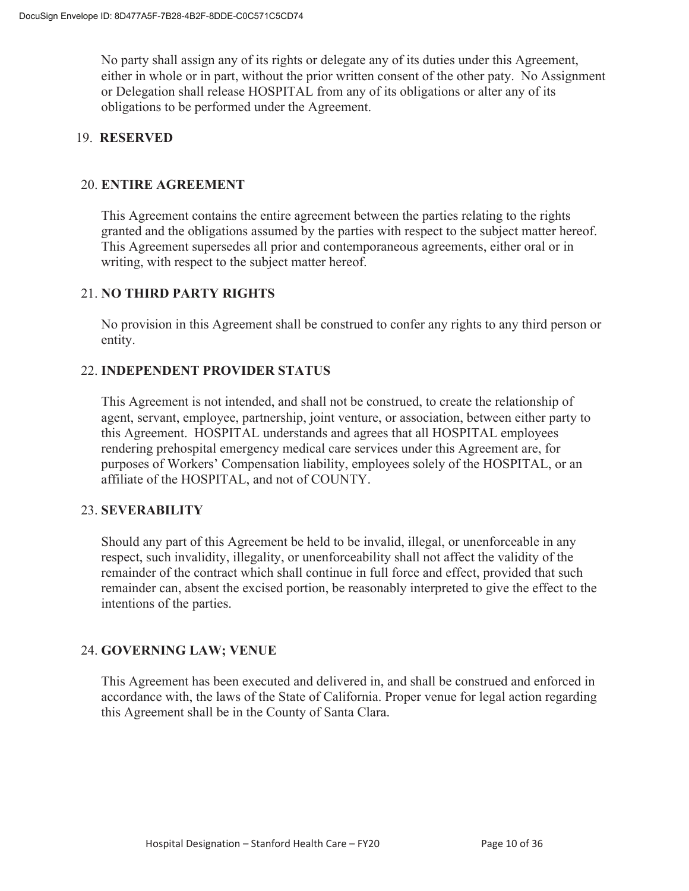No party shall assign any of its rights or delegate any of its duties under this Agreement, either in whole or in part, without the prior written consent of the other paty. No Assignment or Delegation shall release HOSPITAL from any of its obligations or alter any of its obligations to be performed under the Agreement.

#### 19. **RESERVED**

#### 20. **ENTIRE AGREEMENT**

 This Agreement contains the entire agreement between the parties relating to the rights granted and the obligations assumed by the parties with respect to the subject matter hereof. This Agreement supersedes all prior and contemporaneous agreements, either oral or in writing, with respect to the subject matter hereof.

#### 21. **NO THIRD PARTY RIGHTS**

No provision in this Agreement shall be construed to confer any rights to any third person or entity.

#### 22. **INDEPENDENT PROVIDER STATUS**

This Agreement is not intended, and shall not be construed, to create the relationship of agent, servant, employee, partnership, joint venture, or association, between either party to this Agreement. HOSPITAL understands and agrees that all HOSPITAL employees rendering prehospital emergency medical care services under this Agreement are, for purposes of Workers' Compensation liability, employees solely of the HOSPITAL, or an affiliate of the HOSPITAL, and not of COUNTY.

#### 23. **SEVERABILITY**

Should any part of this Agreement be held to be invalid, illegal, or unenforceable in any respect, such invalidity, illegality, or unenforceability shall not affect the validity of the remainder of the contract which shall continue in full force and effect, provided that such remainder can, absent the excised portion, be reasonably interpreted to give the effect to the intentions of the parties.

#### 24. **GOVERNING LAW; VENUE**

This Agreement has been executed and delivered in, and shall be construed and enforced in accordance with, the laws of the State of California. Proper venue for legal action regarding this Agreement shall be in the County of Santa Clara.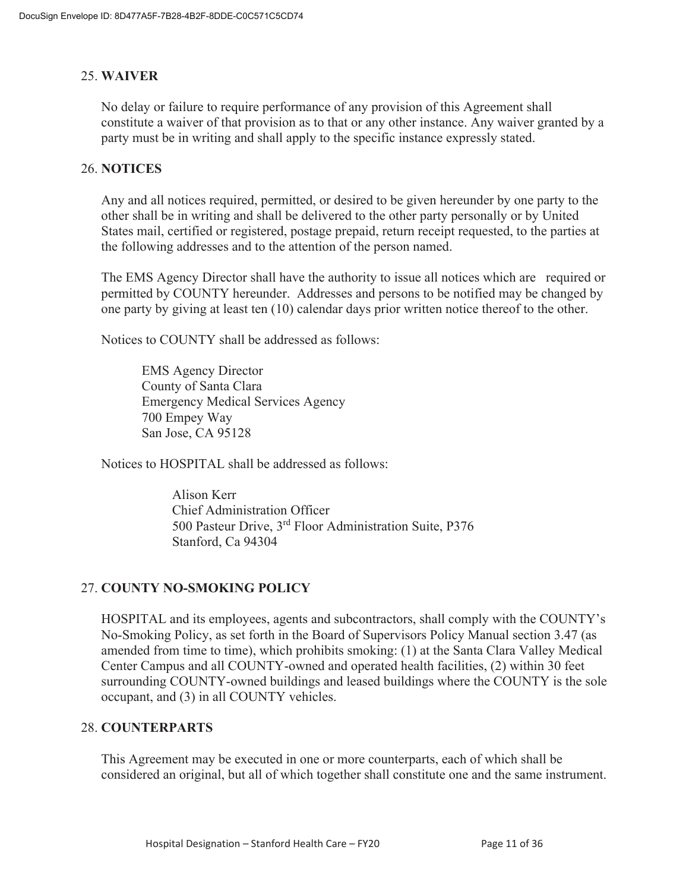#### 25. **WAIVER**

No delay or failure to require performance of any provision of this Agreement shall constitute a waiver of that provision as to that or any other instance. Any waiver granted by a party must be in writing and shall apply to the specific instance expressly stated.

#### 26. **NOTICES**

Any and all notices required, permitted, or desired to be given hereunder by one party to the other shall be in writing and shall be delivered to the other party personally or by United States mail, certified or registered, postage prepaid, return receipt requested, to the parties at the following addresses and to the attention of the person named.

The EMS Agency Director shall have the authority to issue all notices which are required or permitted by COUNTY hereunder. Addresses and persons to be notified may be changed by one party by giving at least ten (10) calendar days prior written notice thereof to the other.

Notices to COUNTY shall be addressed as follows:

EMS Agency Director County of Santa Clara Emergency Medical Services Agency 700 Empey Way San Jose, CA 95128

Notices to HOSPITAL shall be addressed as follows:

 Alison Kerr Chief Administration Officer 500 Pasteur Drive, 3rd Floor Administration Suite, P376 Stanford, Ca 94304

#### 27. **COUNTY NO-SMOKING POLICY**

HOSPITAL and its employees, agents and subcontractors, shall comply with the COUNTY's No-Smoking Policy, as set forth in the Board of Supervisors Policy Manual section 3.47 (as amended from time to time), which prohibits smoking: (1) at the Santa Clara Valley Medical Center Campus and all COUNTY-owned and operated health facilities, (2) within 30 feet surrounding COUNTY-owned buildings and leased buildings where the COUNTY is the sole occupant, and (3) in all COUNTY vehicles.

#### 28. **COUNTERPARTS**

This Agreement may be executed in one or more counterparts, each of which shall be considered an original, but all of which together shall constitute one and the same instrument.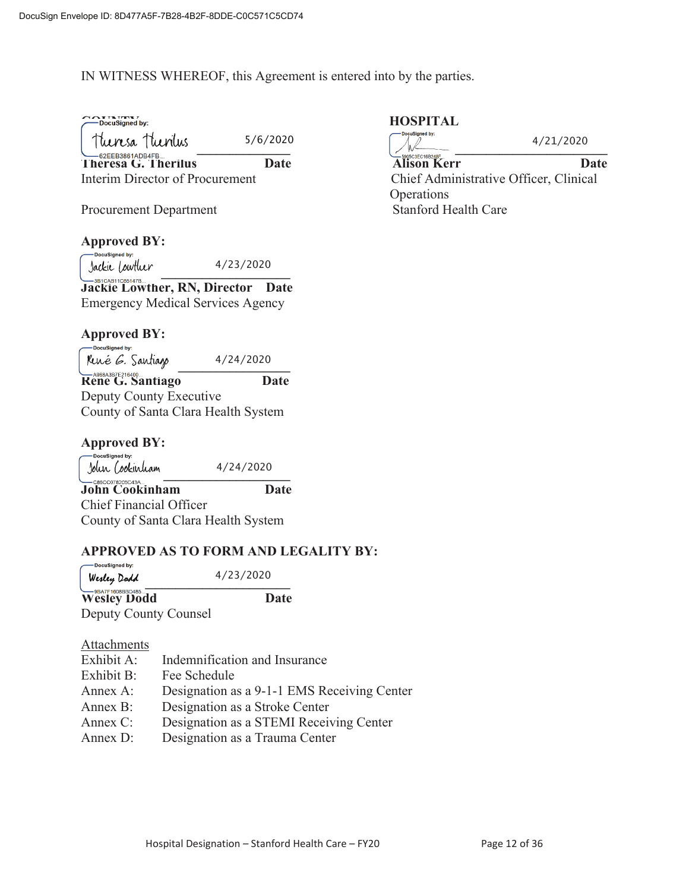#### IN WITNESS WHEREOF, this Agreement is entered into by the parties.

| $\bigcap$ $\bigcap$ $\mathbb{F}$ $\mathbb{F}$ $\mathbb{F}$ $\mathbb{F}$ $\mathbb{F}$ $\mathbb{F}$ $\mathbb{F}$ $\mathbb{F}$ $\mathbb{F}$ $\mathbb{F}$ $\mathbb{F}$ $\mathbb{F}$ $\mathbb{F}$ $\mathbb{F}$ $\mathbb{F}$ $\mathbb{F}$ $\mathbb{F}$ $\mathbb{F}$ $\mathbb{F}$ $\mathbb{F}$ $\mathbb{F}$ $\mathbb{F}$ $\mathbb{F}$ $\$ |  |
|------------------------------------------------------------------------------------------------------------------------------------------------------------------------------------------------------------------------------------------------------------------------------------------------------------------------------------|--|
| -DocuSigned by                                                                                                                                                                                                                                                                                                                     |  |

| Theresa Theorius                       | 5/6/2020 |
|----------------------------------------|----------|
| 62EEB3861ADB4FB<br>Theresa G. Therilus | Date     |

# **Approved BY:**

 $\frac{3a}{k}$ 4/23/2020

**Jackie Lowther, RN, Director Date** Emergency Medical Services Agency

#### **Approved BY:**

DocuSianed by: René *G.* Santiago 4/24/2020 **Rene G. Santiago Date** 

Deputy County Executive County of Santa Clara Health System

| <b>Approved BY:</b> |  |  |
|---------------------|--|--|
|---------------------|--|--|

DocuSianed by:  4/24/2020  $J$ oun (ookinuam  $4/24/2020$ **John Cookinham Date** Chief Financial Officer

County of Santa Clara Health System

#### **APPROVED AS TO FORM AND LEGALITY BY:**

-DocuSigned by:  $Wexley Dodd$ 4/23/2020 Wesley Dodd Date

Deputy County Counsel

#### Attachments

| Exhibit A: | Indemnification and Insurance               |
|------------|---------------------------------------------|
| Exhibit B: | Fee Schedule                                |
| Annex A:   | Designation as a 9-1-1 EMS Receiving Center |
| Annex B:   | Designation as a Stroke Center              |
| Annex C:   | Designation as a STEMI Receiving Center     |
| Annex D:   | Designation as a Trauma Center              |

#### **HOSPITAL**

| Theresa Theorius                       | 5/6/2020 | — DocuSigned by:                       | 4/21/2020 |
|----------------------------------------|----------|----------------------------------------|-----------|
| 62EEB3861ADB4FB<br>Theresa G. Therilus | Date     | 5905C3EC16B248F.<br><b>Alison Kerr</b> | Date      |
| Interim Director of Procurement        |          | Chief Administrative Officer, Clinical |           |
|                                        |          | Operations                             |           |
| <b>Procurement Department</b>          |          | <b>Stanford Health Care</b>            |           |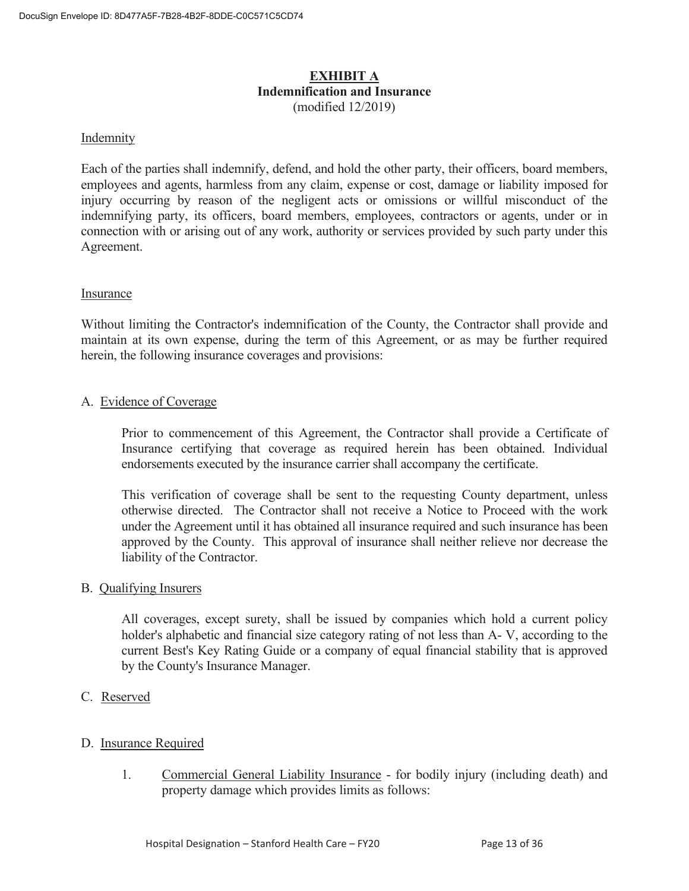#### **EXHIBIT A Indemnification and Insurance**  (modified 12/2019)

#### **Indemnity**

Each of the parties shall indemnify, defend, and hold the other party, their officers, board members, employees and agents, harmless from any claim, expense or cost, damage or liability imposed for injury occurring by reason of the negligent acts or omissions or willful misconduct of the indemnifying party, its officers, board members, employees, contractors or agents, under or in connection with or arising out of any work, authority or services provided by such party under this Agreement.

#### Insurance

Without limiting the Contractor's indemnification of the County, the Contractor shall provide and maintain at its own expense, during the term of this Agreement, or as may be further required herein, the following insurance coverages and provisions:

#### A. Evidence of Coverage

 Prior to commencement of this Agreement, the Contractor shall provide a Certificate of Insurance certifying that coverage as required herein has been obtained. Individual endorsements executed by the insurance carrier shall accompany the certificate.

 This verification of coverage shall be sent to the requesting County department, unless otherwise directed. The Contractor shall not receive a Notice to Proceed with the work under the Agreement until it has obtained all insurance required and such insurance has been approved by the County. This approval of insurance shall neither relieve nor decrease the liability of the Contractor.

#### B. Qualifying Insurers

 All coverages, except surety, shall be issued by companies which hold a current policy holder's alphabetic and financial size category rating of not less than A- V, according to the current Best's Key Rating Guide or a company of equal financial stability that is approved by the County's Insurance Manager.

C. Reserved

#### D. Insurance Required

 1. Commercial General Liability Insurance - for bodily injury (including death) and property damage which provides limits as follows: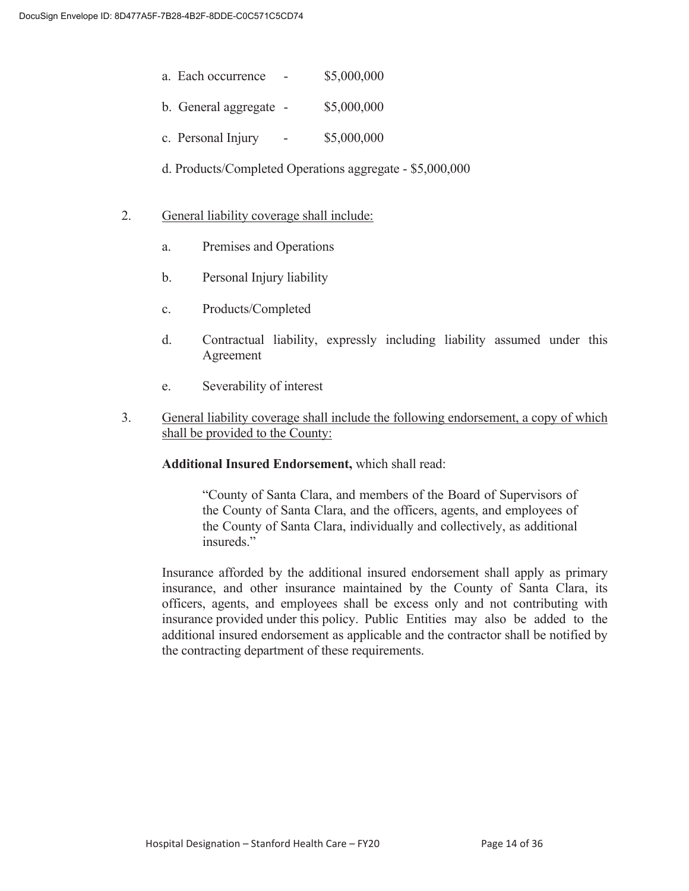- a. Each occurrence \$5,000,000
- b. General aggregate \$5,000,000
- c. Personal Injury  $-$  \$5,000,000
- d. Products/Completed Operations aggregate \$5,000,000
- 2. General liability coverage shall include:
	- a. Premises and Operations
	- b. Personal Injury liability
	- c. Products/Completed
	- d. Contractual liability, expressly including liability assumed under this Agreement
	- e. Severability of interest
- 3. General liability coverage shall include the following endorsement, a copy of which shall be provided to the County:

 **Additional Insured Endorsement,** which shall read:

 "County of Santa Clara, and members of the Board of Supervisors of the County of Santa Clara, and the officers, agents, and employees of the County of Santa Clara, individually and collectively, as additional insureds."

 Insurance afforded by the additional insured endorsement shall apply as primary insurance, and other insurance maintained by the County of Santa Clara, its officers, agents, and employees shall be excess only and not contributing with insurance provided under this policy. Public Entities may also be added to the additional insured endorsement as applicable and the contractor shall be notified by the contracting department of these requirements.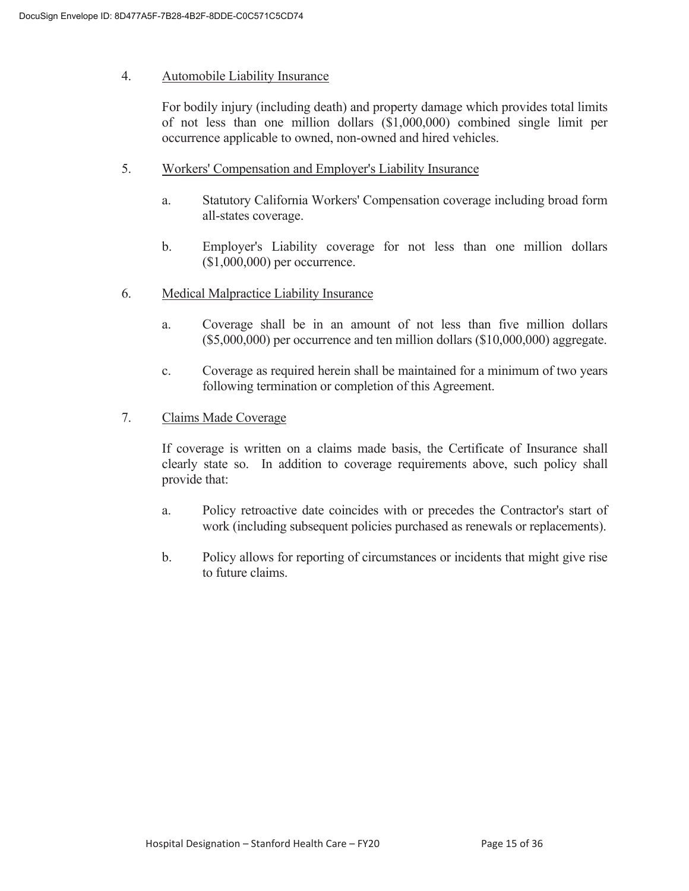#### 4. Automobile Liability Insurance

 For bodily injury (including death) and property damage which provides total limits of not less than one million dollars (\$1,000,000) combined single limit per occurrence applicable to owned, non-owned and hired vehicles.

- 5. Workers' Compensation and Employer's Liability Insurance
	- a. Statutory California Workers' Compensation coverage including broad form all-states coverage.
	- b. Employer's Liability coverage for not less than one million dollars (\$1,000,000) per occurrence.
- 6. Medical Malpractice Liability Insurance
	- a. Coverage shall be in an amount of not less than five million dollars (\$5,000,000) per occurrence and ten million dollars (\$10,000,000) aggregate.
	- c. Coverage as required herein shall be maintained for a minimum of two years following termination or completion of this Agreement.
- 7. Claims Made Coverage

 If coverage is written on a claims made basis, the Certificate of Insurance shall clearly state so. In addition to coverage requirements above, such policy shall provide that:

- a. Policy retroactive date coincides with or precedes the Contractor's start of work (including subsequent policies purchased as renewals or replacements).
- b. Policy allows for reporting of circumstances or incidents that might give rise to future claims.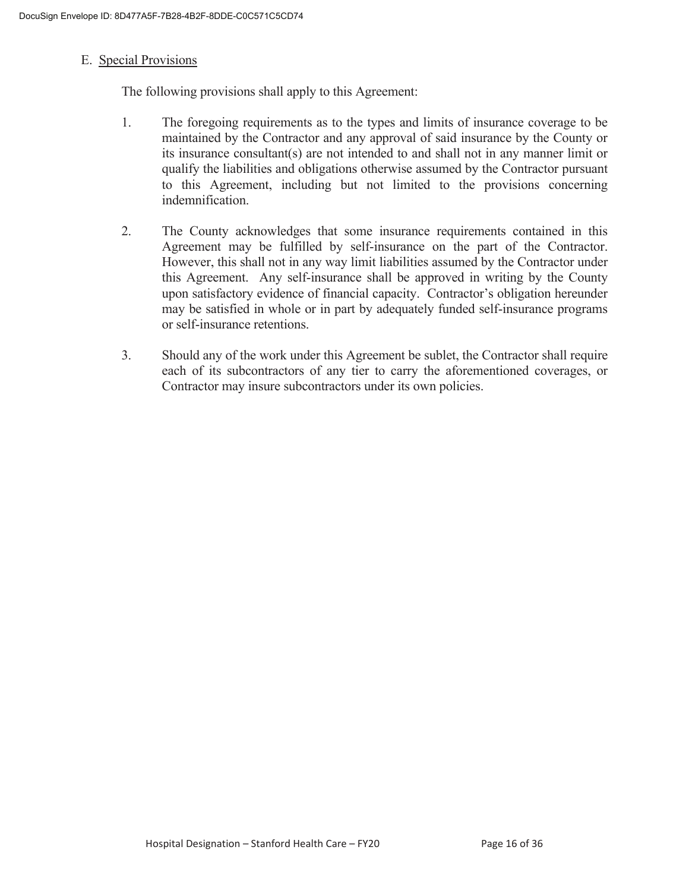#### E. Special Provisions

The following provisions shall apply to this Agreement:

- 1. The foregoing requirements as to the types and limits of insurance coverage to be maintained by the Contractor and any approval of said insurance by the County or its insurance consultant(s) are not intended to and shall not in any manner limit or qualify the liabilities and obligations otherwise assumed by the Contractor pursuant to this Agreement, including but not limited to the provisions concerning indemnification.
- 2. The County acknowledges that some insurance requirements contained in this Agreement may be fulfilled by self-insurance on the part of the Contractor. However, this shall not in any way limit liabilities assumed by the Contractor under this Agreement. Any self-insurance shall be approved in writing by the County upon satisfactory evidence of financial capacity. Contractor's obligation hereunder may be satisfied in whole or in part by adequately funded self-insurance programs or self-insurance retentions.
- 3. Should any of the work under this Agreement be sublet, the Contractor shall require each of its subcontractors of any tier to carry the aforementioned coverages, or Contractor may insure subcontractors under its own policies.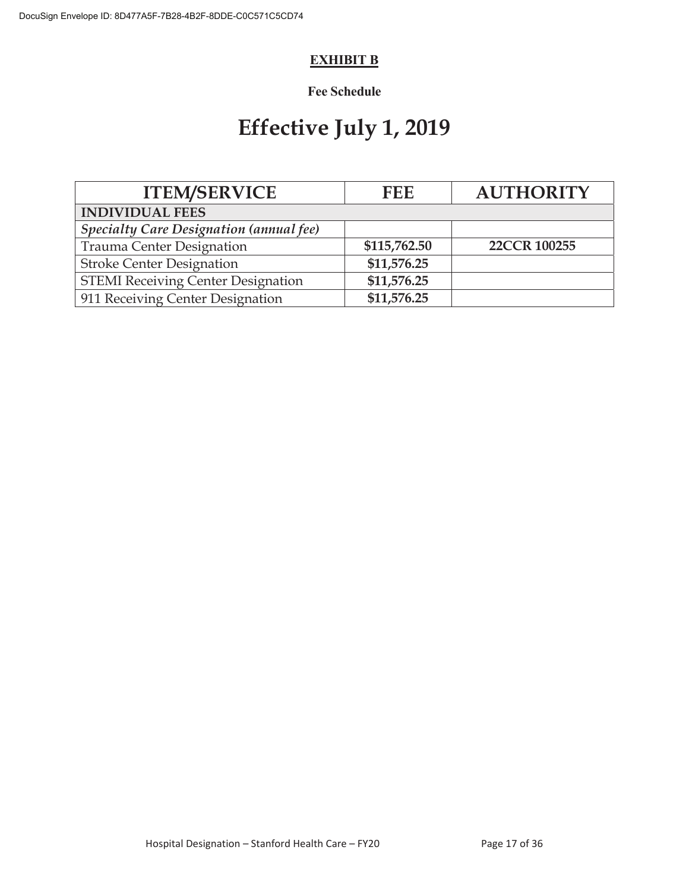#### **EXHIBIT B**

### **Fee Schedule**

# **Effective July 1, 2019**

| <b>ITEM/SERVICE</b>                            | <b>FEE</b>   | <b>AUTHORITY</b> |
|------------------------------------------------|--------------|------------------|
| <b>INDIVIDUAL FEES</b>                         |              |                  |
| <b>Specialty Care Designation (annual fee)</b> |              |                  |
| Trauma Center Designation                      | \$115,762.50 | 22CCR 100255     |
| <b>Stroke Center Designation</b>               | \$11,576.25  |                  |
| <b>STEMI Receiving Center Designation</b>      | \$11,576.25  |                  |
| 911 Receiving Center Designation               | \$11,576.25  |                  |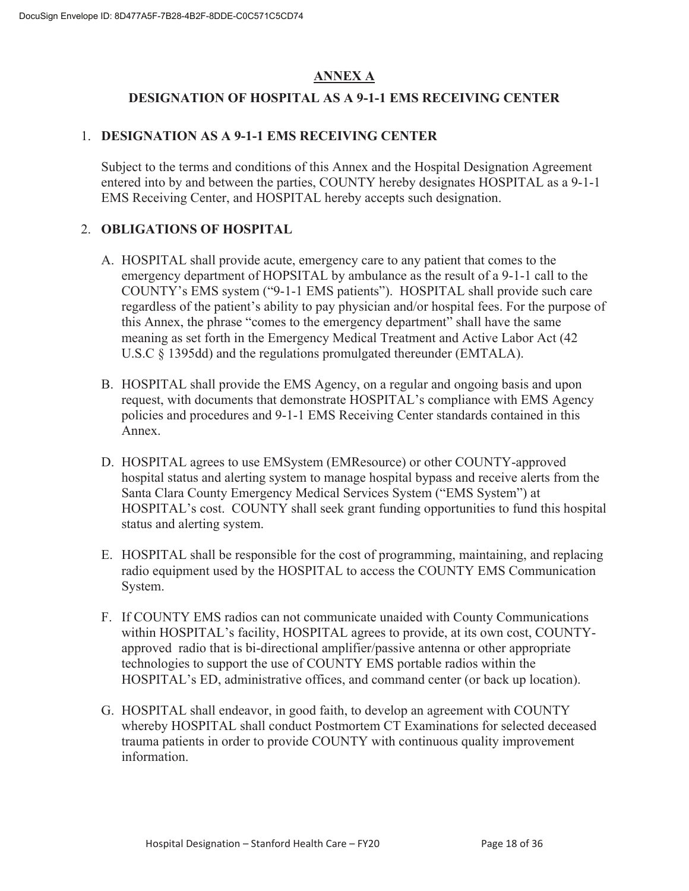#### **ANNEX A**

#### **DESIGNATION OF HOSPITAL AS A 9-1-1 EMS RECEIVING CENTER**

#### 1. **DESIGNATION AS A 9-1-1 EMS RECEIVING CENTER**

Subject to the terms and conditions of this Annex and the Hospital Designation Agreement entered into by and between the parties, COUNTY hereby designates HOSPITAL as a 9-1-1 EMS Receiving Center, and HOSPITAL hereby accepts such designation.

#### 2. **OBLIGATIONS OF HOSPITAL**

- A. HOSPITAL shall provide acute, emergency care to any patient that comes to the emergency department of HOPSITAL by ambulance as the result of a 9-1-1 call to the COUNTY's EMS system ("9-1-1 EMS patients"). HOSPITAL shall provide such care regardless of the patient's ability to pay physician and/or hospital fees. For the purpose of this Annex, the phrase "comes to the emergency department" shall have the same meaning as set forth in the Emergency Medical Treatment and Active Labor Act (42 U.S.C § 1395dd) and the regulations promulgated thereunder (EMTALA).
- B. HOSPITAL shall provide the EMS Agency, on a regular and ongoing basis and upon request, with documents that demonstrate HOSPITAL's compliance with EMS Agency policies and procedures and 9-1-1 EMS Receiving Center standards contained in this Annex.
- D. HOSPITAL agrees to use EMSystem (EMResource) or other COUNTY-approved hospital status and alerting system to manage hospital bypass and receive alerts from the Santa Clara County Emergency Medical Services System ("EMS System") at HOSPITAL's cost. COUNTY shall seek grant funding opportunities to fund this hospital status and alerting system.
- E. HOSPITAL shall be responsible for the cost of programming, maintaining, and replacing radio equipment used by the HOSPITAL to access the COUNTY EMS Communication System.
- F. If COUNTY EMS radios can not communicate unaided with County Communications within HOSPITAL's facility, HOSPITAL agrees to provide, at its own cost, COUNTYapproved radio that is bi-directional amplifier/passive antenna or other appropriate technologies to support the use of COUNTY EMS portable radios within the HOSPITAL's ED, administrative offices, and command center (or back up location).
- G. HOSPITAL shall endeavor, in good faith, to develop an agreement with COUNTY whereby HOSPITAL shall conduct Postmortem CT Examinations for selected deceased trauma patients in order to provide COUNTY with continuous quality improvement information.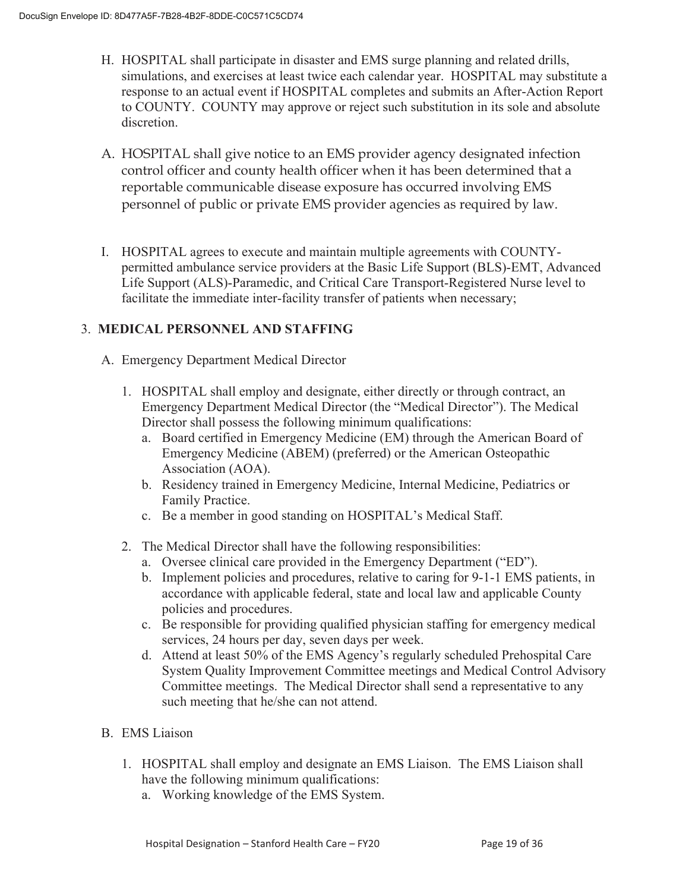- H. HOSPITAL shall participate in disaster and EMS surge planning and related drills, simulations, and exercises at least twice each calendar year. HOSPITAL may substitute a response to an actual event if HOSPITAL completes and submits an After-Action Report to COUNTY. COUNTY may approve or reject such substitution in its sole and absolute discretion.
- A. HOSPITAL shall give notice to an EMS provider agency designated infection control officer and county health officer when it has been determined that a reportable communicable disease exposure has occurred involving EMS personnel of public or private EMS provider agencies as required by law.
- I. HOSPITAL agrees to execute and maintain multiple agreements with COUNTYpermitted ambulance service providers at the Basic Life Support (BLS)-EMT, Advanced Life Support (ALS)-Paramedic, and Critical Care Transport-Registered Nurse level to facilitate the immediate inter-facility transfer of patients when necessary;

#### 3. **MEDICAL PERSONNEL AND STAFFING**

- A. Emergency Department Medical Director
	- 1. HOSPITAL shall employ and designate, either directly or through contract, an Emergency Department Medical Director (the "Medical Director"). The Medical Director shall possess the following minimum qualifications:
		- a. Board certified in Emergency Medicine (EM) through the American Board of Emergency Medicine (ABEM) (preferred) or the American Osteopathic Association (AOA).
		- b. Residency trained in Emergency Medicine, Internal Medicine, Pediatrics or Family Practice.
		- c. Be a member in good standing on HOSPITAL's Medical Staff.
	- 2. The Medical Director shall have the following responsibilities:
		- a. Oversee clinical care provided in the Emergency Department ("ED").
		- b. Implement policies and procedures, relative to caring for 9-1-1 EMS patients, in accordance with applicable federal, state and local law and applicable County policies and procedures.
		- c. Be responsible for providing qualified physician staffing for emergency medical services, 24 hours per day, seven days per week.
		- d. Attend at least 50% of the EMS Agency's regularly scheduled Prehospital Care System Quality Improvement Committee meetings and Medical Control Advisory Committee meetings. The Medical Director shall send a representative to any such meeting that he/she can not attend.

#### B. EMS Liaison

- 1. HOSPITAL shall employ and designate an EMS Liaison. The EMS Liaison shall have the following minimum qualifications:
	- a. Working knowledge of the EMS System.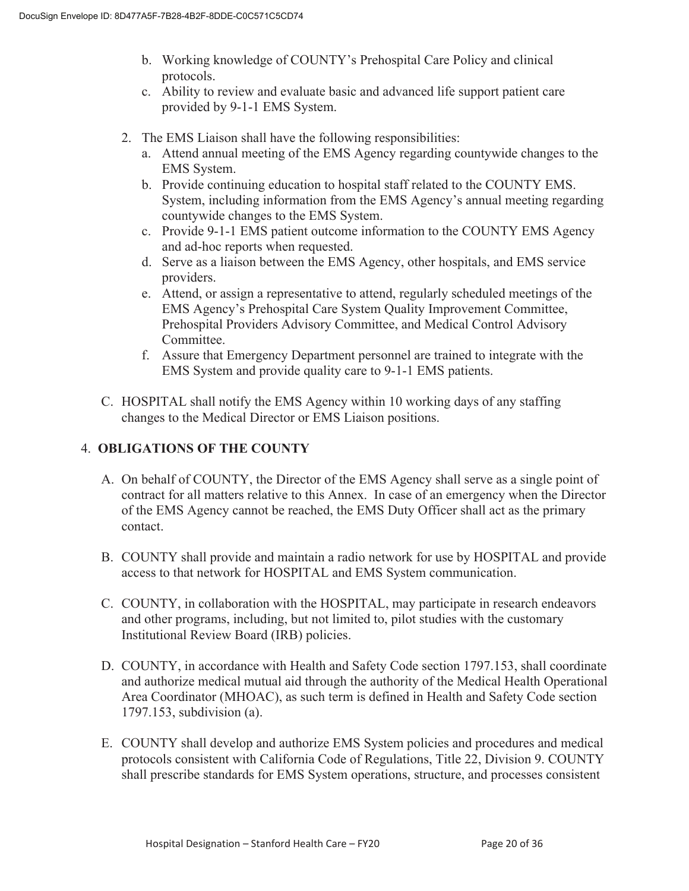- b. Working knowledge of COUNTY's Prehospital Care Policy and clinical protocols.
- c. Ability to review and evaluate basic and advanced life support patient care provided by 9-1-1 EMS System.
- 2. The EMS Liaison shall have the following responsibilities:
	- a. Attend annual meeting of the EMS Agency regarding countywide changes to the EMS System.
	- b. Provide continuing education to hospital staff related to the COUNTY EMS. System, including information from the EMS Agency's annual meeting regarding countywide changes to the EMS System.
	- c. Provide 9-1-1 EMS patient outcome information to the COUNTY EMS Agency and ad-hoc reports when requested.
	- d. Serve as a liaison between the EMS Agency, other hospitals, and EMS service providers.
	- e. Attend, or assign a representative to attend, regularly scheduled meetings of the EMS Agency's Prehospital Care System Quality Improvement Committee, Prehospital Providers Advisory Committee, and Medical Control Advisory Committee.
	- f. Assure that Emergency Department personnel are trained to integrate with the EMS System and provide quality care to 9-1-1 EMS patients.
- C. HOSPITAL shall notify the EMS Agency within 10 working days of any staffing changes to the Medical Director or EMS Liaison positions.

#### 4. **OBLIGATIONS OF THE COUNTY**

- A. On behalf of COUNTY, the Director of the EMS Agency shall serve as a single point of contract for all matters relative to this Annex. In case of an emergency when the Director of the EMS Agency cannot be reached, the EMS Duty Officer shall act as the primary contact.
- B. COUNTY shall provide and maintain a radio network for use by HOSPITAL and provide access to that network for HOSPITAL and EMS System communication.
- C. COUNTY, in collaboration with the HOSPITAL, may participate in research endeavors and other programs, including, but not limited to, pilot studies with the customary Institutional Review Board (IRB) policies.
- D. COUNTY, in accordance with Health and Safety Code section 1797.153, shall coordinate and authorize medical mutual aid through the authority of the Medical Health Operational Area Coordinator (MHOAC), as such term is defined in Health and Safety Code section 1797.153, subdivision (a).
- E. COUNTY shall develop and authorize EMS System policies and procedures and medical protocols consistent with California Code of Regulations, Title 22, Division 9. COUNTY shall prescribe standards for EMS System operations, structure, and processes consistent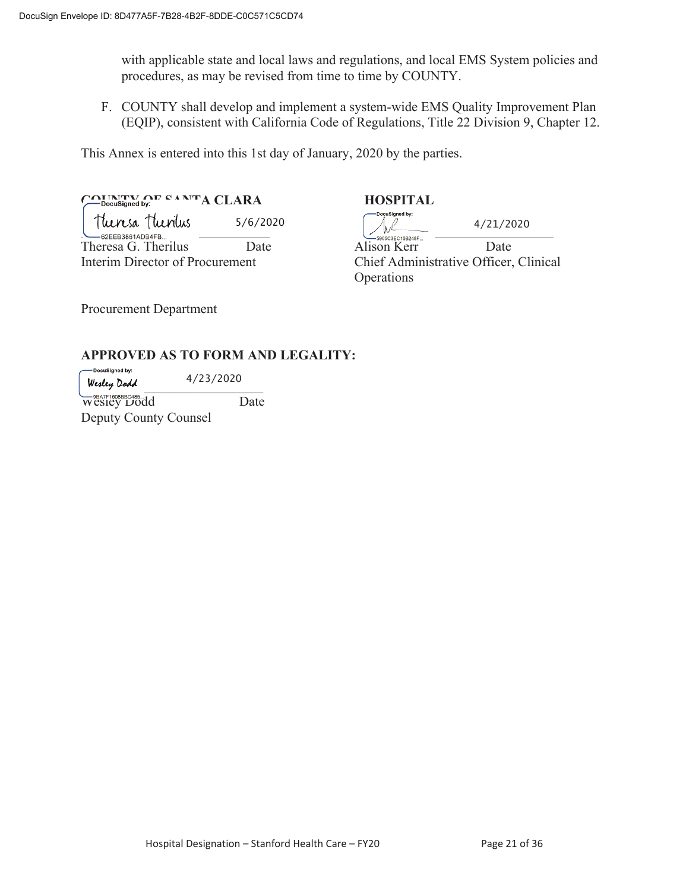with applicable state and local laws and regulations, and local EMS System policies and procedures, as may be revised from time to time by COUNTY.

F. COUNTY shall develop and implement a system-wide EMS Quality Improvement Plan (EQIP), consistent with California Code of Regulations, Title 22 Division 9, Chapter 12.

This Annex is entered into this 1st day of January, 2020 by the parties.

COUNTY OF SANTA CLARA **HOSPITAL**  $\frac{1}{2}$ <br> $\frac{1}{2}$   $\frac{1}{2}$   $\frac{1}{2}$   $\frac{1}{2}$   $\frac{1}{2}$   $\frac{1}{2}$   $\frac{1}{2}$   $\frac{1}{2}$   $\frac{1}{2}$   $\frac{1}{2}$   $\frac{1}{2}$   $\frac{1}{2}$   $\frac{1}{2}$   $\frac{1}{2}$   $\frac{1}{2}$   $\frac{1}{2}$   $\frac{1}{2}$   $\frac{1}{2}$   $\frac{1}{2}$   $\frac{1}{2}$   $\frac{1}{2}$  Theresa G. Therilus Date Alison Kerr Date 5/6/2020

DoçuSigned by: 4/21/2020

Interim Director of Procurement Chief Administrative Officer, Clinical Operations

Procurement Department

#### **APPROVED AS TO FORM AND LEGALITY:**

-<br>DocuSianed by: 4/23/2020 Werley Dodd

Wesley Dodd Date Deputy County Counsel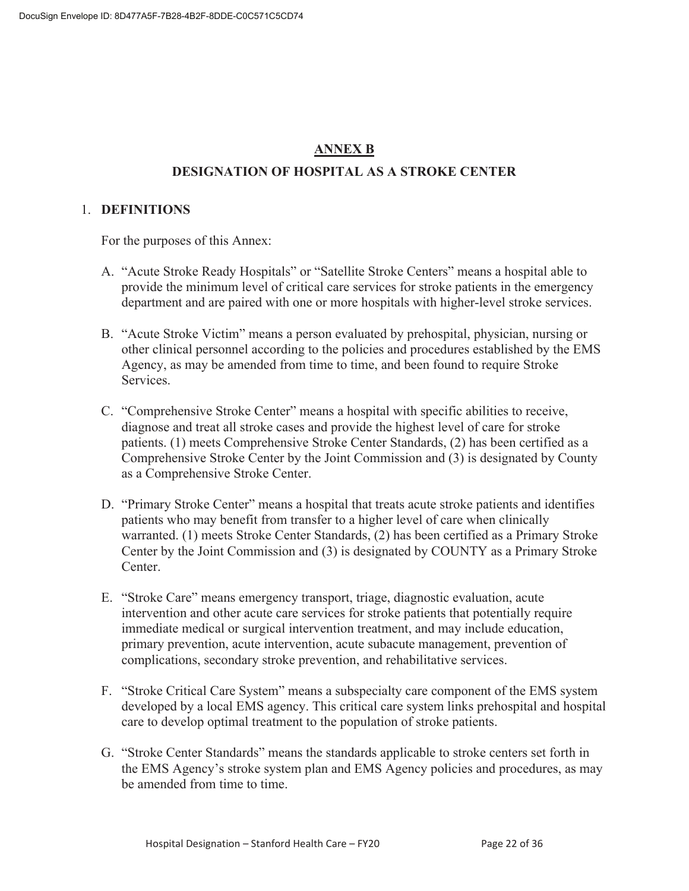### **ANNEX B**

#### **DESIGNATION OF HOSPITAL AS A STROKE CENTER**

#### 1. **DEFINITIONS**

For the purposes of this Annex:

- A. "Acute Stroke Ready Hospitals" or "Satellite Stroke Centers" means a hospital able to provide the minimum level of critical care services for stroke patients in the emergency department and are paired with one or more hospitals with higher-level stroke services.
- B. "Acute Stroke Victim" means a person evaluated by prehospital, physician, nursing or other clinical personnel according to the policies and procedures established by the EMS Agency, as may be amended from time to time, and been found to require Stroke Services.
- C. "Comprehensive Stroke Center" means a hospital with specific abilities to receive, diagnose and treat all stroke cases and provide the highest level of care for stroke patients. (1) meets Comprehensive Stroke Center Standards, (2) has been certified as a Comprehensive Stroke Center by the Joint Commission and (3) is designated by County as a Comprehensive Stroke Center.
- D. "Primary Stroke Center" means a hospital that treats acute stroke patients and identifies patients who may benefit from transfer to a higher level of care when clinically warranted. (1) meets Stroke Center Standards, (2) has been certified as a Primary Stroke Center by the Joint Commission and (3) is designated by COUNTY as a Primary Stroke Center.
- E. "Stroke Care" means emergency transport, triage, diagnostic evaluation, acute intervention and other acute care services for stroke patients that potentially require immediate medical or surgical intervention treatment, and may include education, primary prevention, acute intervention, acute subacute management, prevention of complications, secondary stroke prevention, and rehabilitative services.
- F. "Stroke Critical Care System" means a subspecialty care component of the EMS system developed by a local EMS agency. This critical care system links prehospital and hospital care to develop optimal treatment to the population of stroke patients.
- G. "Stroke Center Standards" means the standards applicable to stroke centers set forth in the EMS Agency's stroke system plan and EMS Agency policies and procedures, as may be amended from time to time.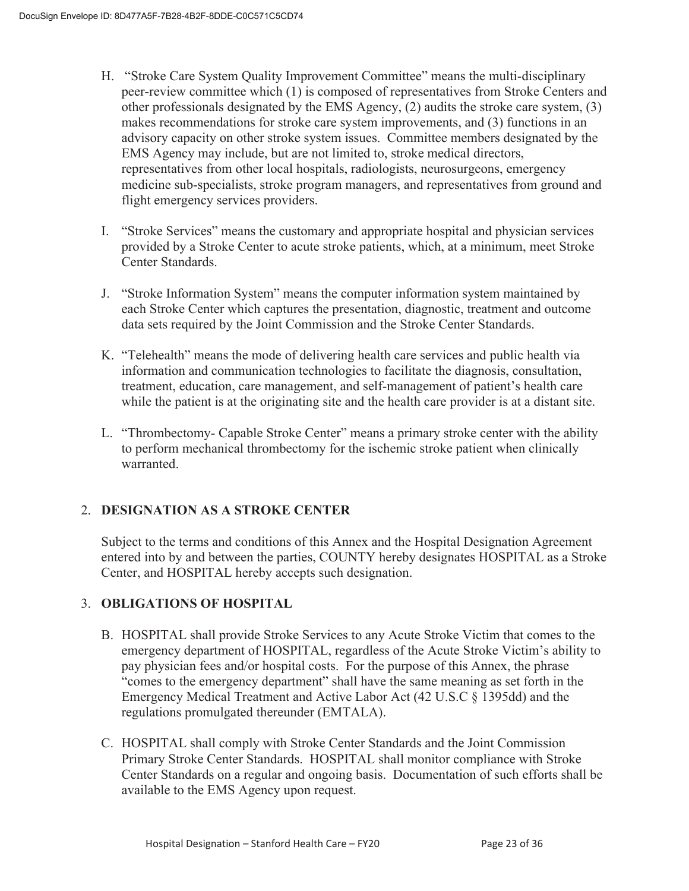- H. "Stroke Care System Quality Improvement Committee" means the multi-disciplinary peer-review committee which (1) is composed of representatives from Stroke Centers and other professionals designated by the EMS Agency, (2) audits the stroke care system, (3) makes recommendations for stroke care system improvements, and (3) functions in an advisory capacity on other stroke system issues. Committee members designated by the EMS Agency may include, but are not limited to, stroke medical directors, representatives from other local hospitals, radiologists, neurosurgeons, emergency medicine sub-specialists, stroke program managers, and representatives from ground and flight emergency services providers.
- I. "Stroke Services" means the customary and appropriate hospital and physician services provided by a Stroke Center to acute stroke patients, which, at a minimum, meet Stroke Center Standards.
- J. "Stroke Information System" means the computer information system maintained by each Stroke Center which captures the presentation, diagnostic, treatment and outcome data sets required by the Joint Commission and the Stroke Center Standards.
- K. "Telehealth" means the mode of delivering health care services and public health via information and communication technologies to facilitate the diagnosis, consultation, treatment, education, care management, and self-management of patient's health care while the patient is at the originating site and the health care provider is at a distant site.
- L. "Thrombectomy- Capable Stroke Center" means a primary stroke center with the ability to perform mechanical thrombectomy for the ischemic stroke patient when clinically warranted.

### 2. **DESIGNATION AS A STROKE CENTER**

Subject to the terms and conditions of this Annex and the Hospital Designation Agreement entered into by and between the parties, COUNTY hereby designates HOSPITAL as a Stroke Center, and HOSPITAL hereby accepts such designation.

#### 3. **OBLIGATIONS OF HOSPITAL**

- B. HOSPITAL shall provide Stroke Services to any Acute Stroke Victim that comes to the emergency department of HOSPITAL, regardless of the Acute Stroke Victim's ability to pay physician fees and/or hospital costs. For the purpose of this Annex, the phrase "comes to the emergency department" shall have the same meaning as set forth in the Emergency Medical Treatment and Active Labor Act (42 U.S.C § 1395dd) and the regulations promulgated thereunder (EMTALA).
- C. HOSPITAL shall comply with Stroke Center Standards and the Joint Commission Primary Stroke Center Standards. HOSPITAL shall monitor compliance with Stroke Center Standards on a regular and ongoing basis. Documentation of such efforts shall be available to the EMS Agency upon request.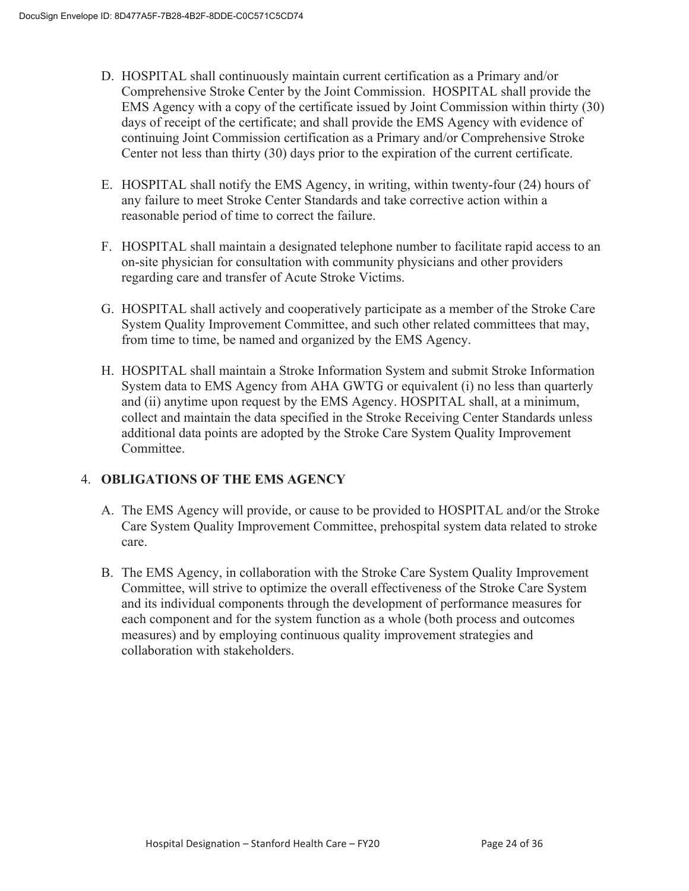- D. HOSPITAL shall continuously maintain current certification as a Primary and/or Comprehensive Stroke Center by the Joint Commission. HOSPITAL shall provide the EMS Agency with a copy of the certificate issued by Joint Commission within thirty (30) days of receipt of the certificate; and shall provide the EMS Agency with evidence of continuing Joint Commission certification as a Primary and/or Comprehensive Stroke Center not less than thirty (30) days prior to the expiration of the current certificate.
- E. HOSPITAL shall notify the EMS Agency, in writing, within twenty-four (24) hours of any failure to meet Stroke Center Standards and take corrective action within a reasonable period of time to correct the failure.
- F. HOSPITAL shall maintain a designated telephone number to facilitate rapid access to an on-site physician for consultation with community physicians and other providers regarding care and transfer of Acute Stroke Victims.
- G. HOSPITAL shall actively and cooperatively participate as a member of the Stroke Care System Quality Improvement Committee, and such other related committees that may, from time to time, be named and organized by the EMS Agency.
- H. HOSPITAL shall maintain a Stroke Information System and submit Stroke Information System data to EMS Agency from AHA GWTG or equivalent (i) no less than quarterly and (ii) anytime upon request by the EMS Agency. HOSPITAL shall, at a minimum, collect and maintain the data specified in the Stroke Receiving Center Standards unless additional data points are adopted by the Stroke Care System Quality Improvement Committee.

#### 4. **OBLIGATIONS OF THE EMS AGENCY**

- A. The EMS Agency will provide, or cause to be provided to HOSPITAL and/or the Stroke Care System Quality Improvement Committee, prehospital system data related to stroke care.
- B. The EMS Agency, in collaboration with the Stroke Care System Quality Improvement Committee, will strive to optimize the overall effectiveness of the Stroke Care System and its individual components through the development of performance measures for each component and for the system function as a whole (both process and outcomes measures) and by employing continuous quality improvement strategies and collaboration with stakeholders.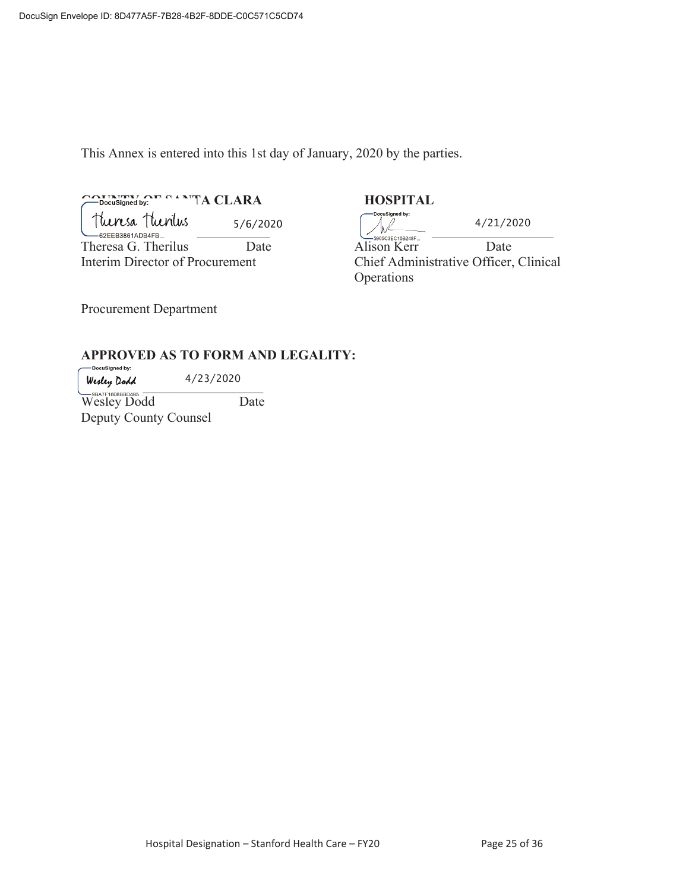This Annex is entered into this 1st day of January, 2020 by the parties.

## COUNTRY OF SANTA CLARA **HOSPITAL**

Tuensa Tuentus 5/6/2020<br>
-82EEB3861ADB4FB...<br>
heresa G. Therilus Date Alison Kerr 5/6/2020

Theresa G. Therilus Date Alison Kerr Date

ocuSigned by: 4/21/2020 Interim Director of Procurement Chief Administrative Officer, Clinical Operations

Procurement Department

# **APPROVED AS TO FORM AND LEGALITY:**

 $Welly$   $Qaa$ <br> $\rightarrow$   $Z572020$ 4/23/2020

Wesley Dodd Date Deputy County Counsel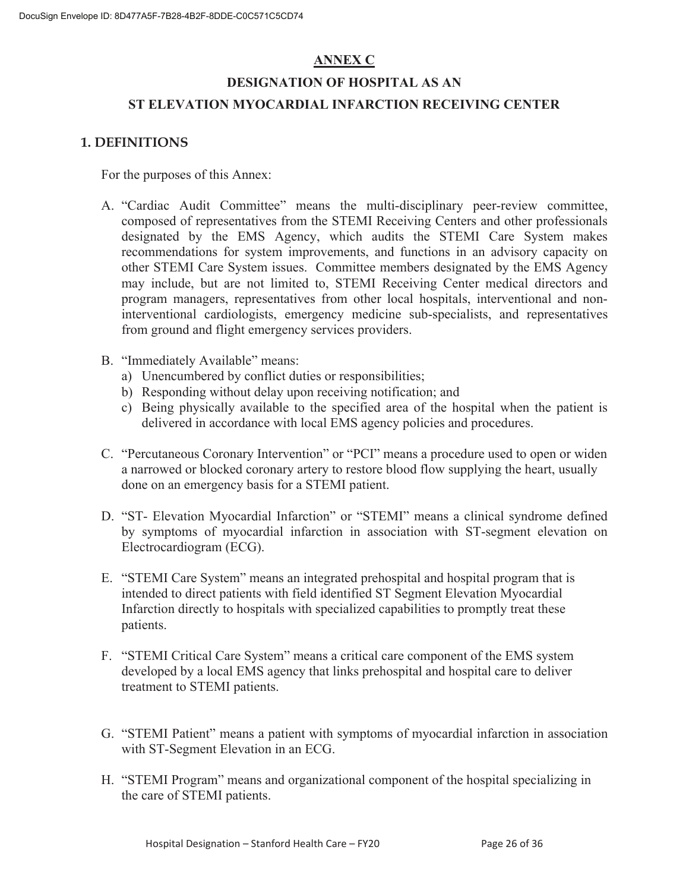#### **ANNEX C**

## **DESIGNATION OF HOSPITAL AS AN ST ELEVATION MYOCARDIAL INFARCTION RECEIVING CENTER**

#### **1. DEFINITIONS**

For the purposes of this Annex:

- A. "Cardiac Audit Committee" means the multi-disciplinary peer-review committee, composed of representatives from the STEMI Receiving Centers and other professionals designated by the EMS Agency, which audits the STEMI Care System makes recommendations for system improvements, and functions in an advisory capacity on other STEMI Care System issues. Committee members designated by the EMS Agency may include, but are not limited to, STEMI Receiving Center medical directors and program managers, representatives from other local hospitals, interventional and noninterventional cardiologists, emergency medicine sub-specialists, and representatives from ground and flight emergency services providers.
- B. "Immediately Available" means:
	- a) Unencumbered by conflict duties or responsibilities;
	- b) Responding without delay upon receiving notification; and
	- c) Being physically available to the specified area of the hospital when the patient is delivered in accordance with local EMS agency policies and procedures.
- C. "Percutaneous Coronary Intervention" or "PCI" means a procedure used to open or widen a narrowed or blocked coronary artery to restore blood flow supplying the heart, usually done on an emergency basis for a STEMI patient.
- D. "ST- Elevation Myocardial Infarction" or "STEMI" means a clinical syndrome defined by symptoms of myocardial infarction in association with ST-segment elevation on Electrocardiogram (ECG).
- E. "STEMI Care System" means an integrated prehospital and hospital program that is intended to direct patients with field identified ST Segment Elevation Myocardial Infarction directly to hospitals with specialized capabilities to promptly treat these patients.
- F. "STEMI Critical Care System" means a critical care component of the EMS system developed by a local EMS agency that links prehospital and hospital care to deliver treatment to STEMI patients.
- G. "STEMI Patient" means a patient with symptoms of myocardial infarction in association with ST-Segment Elevation in an ECG.
- H. "STEMI Program" means and organizational component of the hospital specializing in the care of STEMI patients.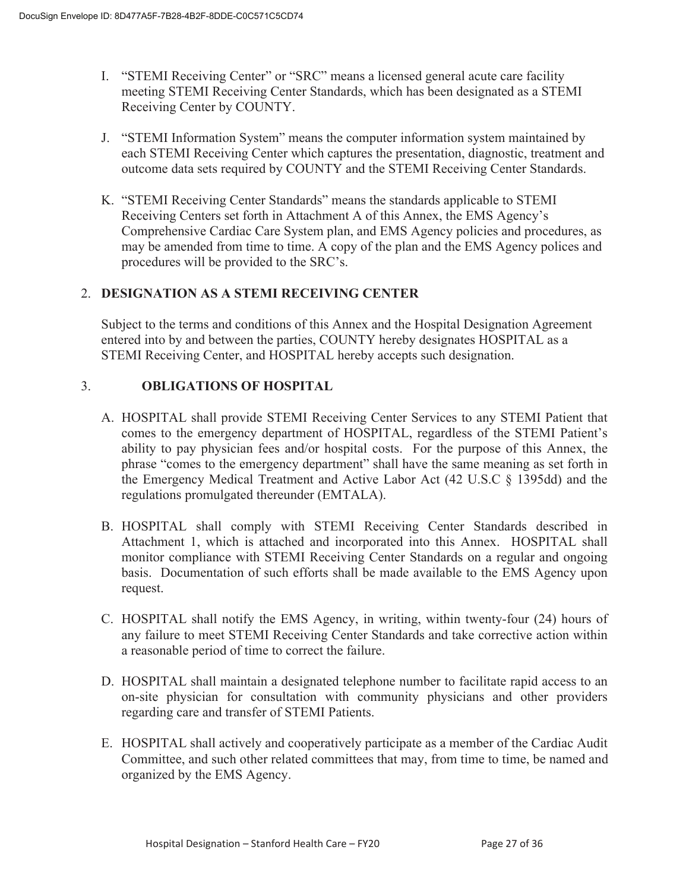- I. "STEMI Receiving Center" or "SRC" means a licensed general acute care facility meeting STEMI Receiving Center Standards, which has been designated as a STEMI Receiving Center by COUNTY.
- J. "STEMI Information System" means the computer information system maintained by each STEMI Receiving Center which captures the presentation, diagnostic, treatment and outcome data sets required by COUNTY and the STEMI Receiving Center Standards.
- K. "STEMI Receiving Center Standards" means the standards applicable to STEMI Receiving Centers set forth in Attachment A of this Annex, the EMS Agency's Comprehensive Cardiac Care System plan, and EMS Agency policies and procedures, as may be amended from time to time. A copy of the plan and the EMS Agency polices and procedures will be provided to the SRC's.

#### 2. **DESIGNATION AS A STEMI RECEIVING CENTER**

Subject to the terms and conditions of this Annex and the Hospital Designation Agreement entered into by and between the parties, COUNTY hereby designates HOSPITAL as a STEMI Receiving Center, and HOSPITAL hereby accepts such designation.

#### 3. **OBLIGATIONS OF HOSPITAL**

- A. HOSPITAL shall provide STEMI Receiving Center Services to any STEMI Patient that comes to the emergency department of HOSPITAL, regardless of the STEMI Patient's ability to pay physician fees and/or hospital costs. For the purpose of this Annex, the phrase "comes to the emergency department" shall have the same meaning as set forth in the Emergency Medical Treatment and Active Labor Act (42 U.S.C § 1395dd) and the regulations promulgated thereunder (EMTALA).
- B. HOSPITAL shall comply with STEMI Receiving Center Standards described in Attachment 1, which is attached and incorporated into this Annex. HOSPITAL shall monitor compliance with STEMI Receiving Center Standards on a regular and ongoing basis. Documentation of such efforts shall be made available to the EMS Agency upon request.
- C. HOSPITAL shall notify the EMS Agency, in writing, within twenty-four (24) hours of any failure to meet STEMI Receiving Center Standards and take corrective action within a reasonable period of time to correct the failure.
- D. HOSPITAL shall maintain a designated telephone number to facilitate rapid access to an on-site physician for consultation with community physicians and other providers regarding care and transfer of STEMI Patients.
- E. HOSPITAL shall actively and cooperatively participate as a member of the Cardiac Audit Committee, and such other related committees that may, from time to time, be named and organized by the EMS Agency.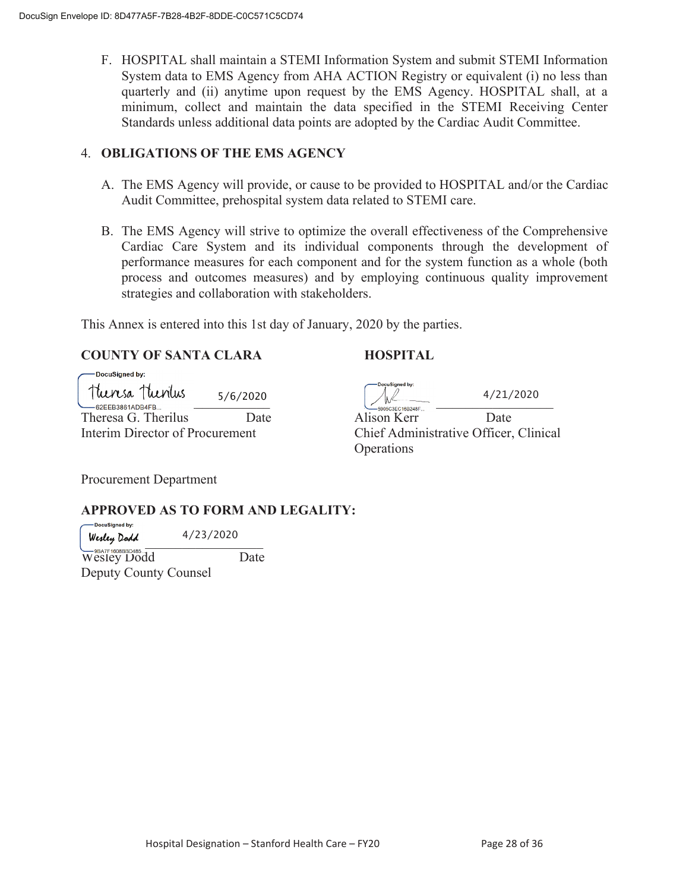F. HOSPITAL shall maintain a STEMI Information System and submit STEMI Information System data to EMS Agency from AHA ACTION Registry or equivalent (i) no less than quarterly and (ii) anytime upon request by the EMS Agency. HOSPITAL shall, at a minimum, collect and maintain the data specified in the STEMI Receiving Center Standards unless additional data points are adopted by the Cardiac Audit Committee.

#### 4. **OBLIGATIONS OF THE EMS AGENCY**

- A. The EMS Agency will provide, or cause to be provided to HOSPITAL and/or the Cardiac Audit Committee, prehospital system data related to STEMI care.
- B. The EMS Agency will strive to optimize the overall effectiveness of the Comprehensive Cardiac Care System and its individual components through the development of performance measures for each component and for the system function as a whole (both process and outcomes measures) and by employing continuous quality improvement strategies and collaboration with stakeholders.

This Annex is entered into this 1st day of January, 2020 by the parties.

#### **COUNTY OF SANTA CLARA HOSPITAL**

| —— DocuSianed by:                      |          |                                       |           |
|----------------------------------------|----------|---------------------------------------|-----------|
| Theresa Thenius<br>$-62$ EEB3861ADB4FB | 5/6/2020 | -DoçuSigned by:<br>5905C3EC16B248F    | 4/21/2020 |
| Theresa G. Therilus                    | Date     | Alison Kerr                           | Date      |
| Interim Director of Procurement        |          | Chief Administrative Officer, Clinica |           |

DocuSigned by:

Alison Kerr Date Chief Administrative Officer, Clinical **Operations** 

Procurement Department

#### **APPROVED AS TO FORM AND LEGALITY:**

-DocuSianed by: Wesley Dodd 4/23/2020

Wesley Dodd Date Deputy County Counsel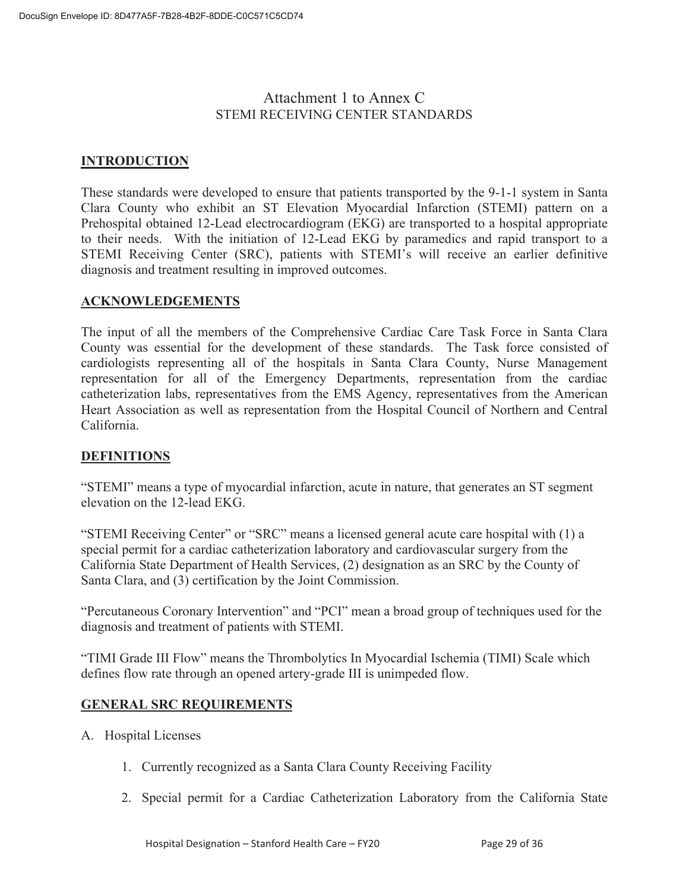#### Attachment 1 to Annex C STEMI RECEIVING CENTER STANDARDS

#### **INTRODUCTION**

These standards were developed to ensure that patients transported by the 9-1-1 system in Santa Clara County who exhibit an ST Elevation Myocardial Infarction (STEMI) pattern on a Prehospital obtained 12-Lead electrocardiogram (EKG) are transported to a hospital appropriate to their needs. With the initiation of 12-Lead EKG by paramedics and rapid transport to a STEMI Receiving Center (SRC), patients with STEMI's will receive an earlier definitive diagnosis and treatment resulting in improved outcomes.

#### **ACKNOWLEDGEMENTS**

The input of all the members of the Comprehensive Cardiac Care Task Force in Santa Clara County was essential for the development of these standards. The Task force consisted of cardiologists representing all of the hospitals in Santa Clara County, Nurse Management representation for all of the Emergency Departments, representation from the cardiac catheterization labs, representatives from the EMS Agency, representatives from the American Heart Association as well as representation from the Hospital Council of Northern and Central California.

#### **DEFINITIONS**

"STEMI" means a type of myocardial infarction, acute in nature, that generates an ST segment elevation on the 12-lead EKG.

"STEMI Receiving Center" or "SRC" means a licensed general acute care hospital with (1) a special permit for a cardiac catheterization laboratory and cardiovascular surgery from the California State Department of Health Services, (2) designation as an SRC by the County of Santa Clara, and (3) certification by the Joint Commission.

"Percutaneous Coronary Intervention" and "PCI" mean a broad group of techniques used for the diagnosis and treatment of patients with STEMI.

"TIMI Grade III Flow" means the Thrombolytics In Myocardial Ischemia (TIMI) Scale which defines flow rate through an opened artery-grade III is unimpeded flow.

#### **GENERAL SRC REQUIREMENTS**

- A. Hospital Licenses
	- 1. Currently recognized as a Santa Clara County Receiving Facility
	- 2. Special permit for a Cardiac Catheterization Laboratory from the California State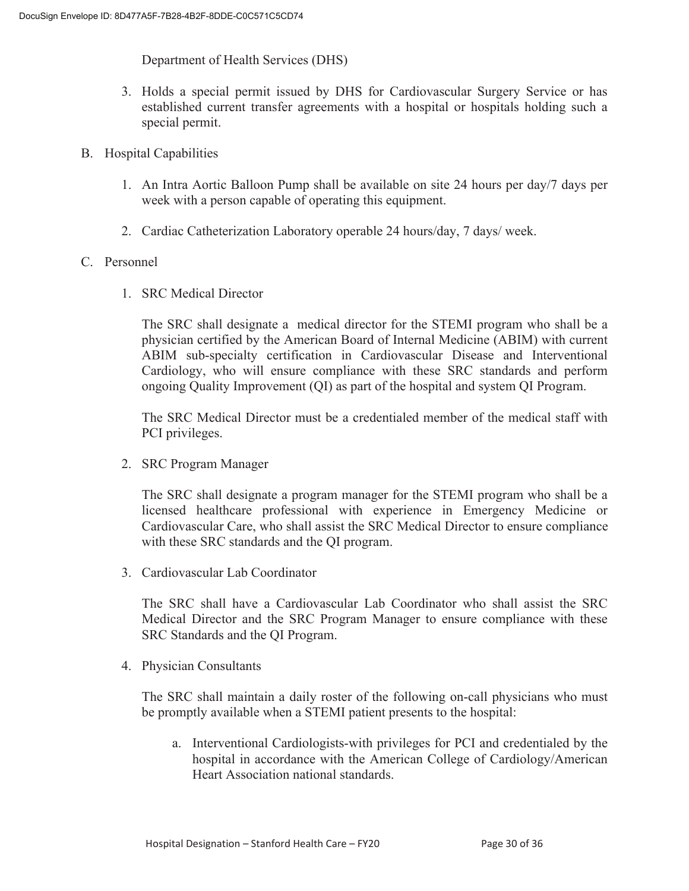Department of Health Services (DHS)

- 3. Holds a special permit issued by DHS for Cardiovascular Surgery Service or has established current transfer agreements with a hospital or hospitals holding such a special permit.
- B. Hospital Capabilities
	- 1. An Intra Aortic Balloon Pump shall be available on site 24 hours per day/7 days per week with a person capable of operating this equipment.
	- 2. Cardiac Catheterization Laboratory operable 24 hours/day, 7 days/ week.

#### C. Personnel

1. SRC Medical Director

The SRC shall designate a medical director for the STEMI program who shall be a physician certified by the American Board of Internal Medicine (ABIM) with current ABIM sub-specialty certification in Cardiovascular Disease and Interventional Cardiology, who will ensure compliance with these SRC standards and perform ongoing Quality Improvement (QI) as part of the hospital and system QI Program.

The SRC Medical Director must be a credentialed member of the medical staff with PCI privileges.

2. SRC Program Manager

The SRC shall designate a program manager for the STEMI program who shall be a licensed healthcare professional with experience in Emergency Medicine or Cardiovascular Care, who shall assist the SRC Medical Director to ensure compliance with these SRC standards and the QI program.

3. Cardiovascular Lab Coordinator

The SRC shall have a Cardiovascular Lab Coordinator who shall assist the SRC Medical Director and the SRC Program Manager to ensure compliance with these SRC Standards and the QI Program.

4. Physician Consultants

The SRC shall maintain a daily roster of the following on-call physicians who must be promptly available when a STEMI patient presents to the hospital:

a. Interventional Cardiologists-with privileges for PCI and credentialed by the hospital in accordance with the American College of Cardiology/American Heart Association national standards.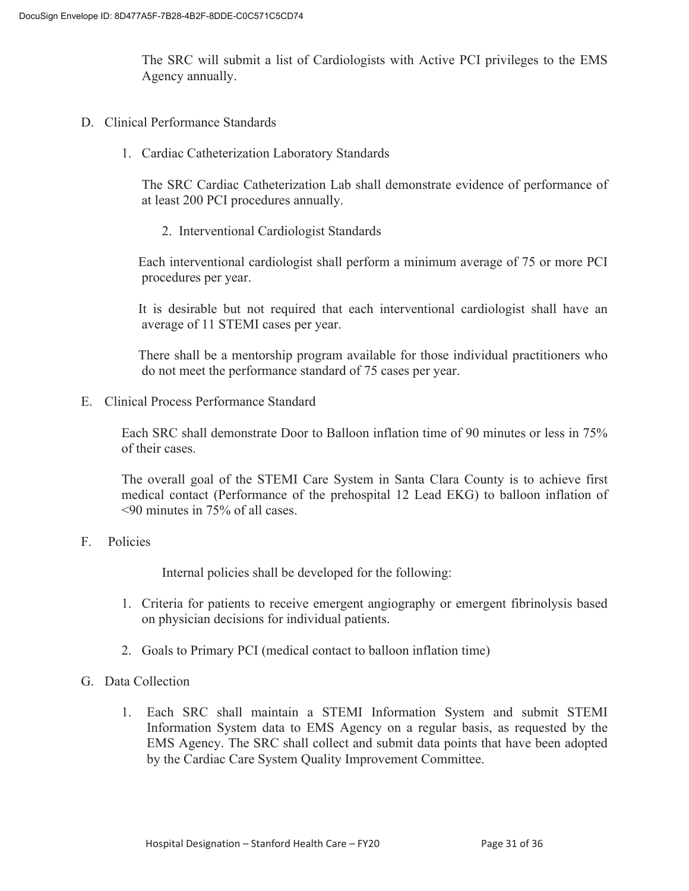The SRC will submit a list of Cardiologists with Active PCI privileges to the EMS Agency annually.

- D. Clinical Performance Standards
	- 1. Cardiac Catheterization Laboratory Standards

The SRC Cardiac Catheterization Lab shall demonstrate evidence of performance of at least 200 PCI procedures annually.

2. Interventional Cardiologist Standards

 Each interventional cardiologist shall perform a minimum average of 75 or more PCI procedures per year.

 It is desirable but not required that each interventional cardiologist shall have an average of 11 STEMI cases per year.

 There shall be a mentorship program available for those individual practitioners who do not meet the performance standard of 75 cases per year.

E. Clinical Process Performance Standard

Each SRC shall demonstrate Door to Balloon inflation time of 90 minutes or less in 75% of their cases.

The overall goal of the STEMI Care System in Santa Clara County is to achieve first medical contact (Performance of the prehospital 12 Lead EKG) to balloon inflation of <90 minutes in 75% of all cases.

#### F. Policies

Internal policies shall be developed for the following:

- 1. Criteria for patients to receive emergent angiography or emergent fibrinolysis based on physician decisions for individual patients.
- 2. Goals to Primary PCI (medical contact to balloon inflation time)

#### G. Data Collection

1. Each SRC shall maintain a STEMI Information System and submit STEMI Information System data to EMS Agency on a regular basis, as requested by the EMS Agency. The SRC shall collect and submit data points that have been adopted by the Cardiac Care System Quality Improvement Committee.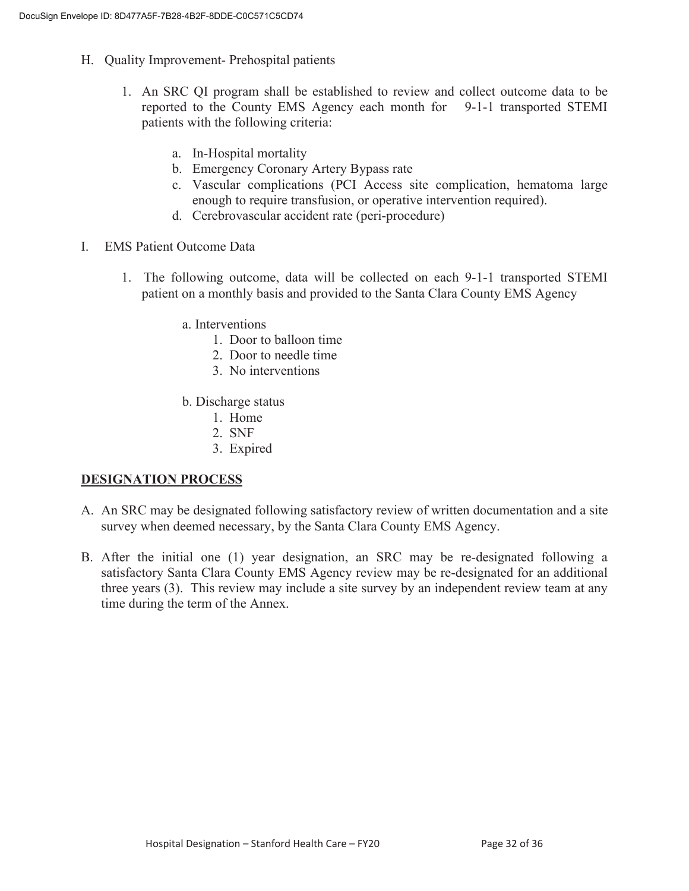- H. Quality Improvement- Prehospital patients
	- 1. An SRC QI program shall be established to review and collect outcome data to be reported to the County EMS Agency each month for 9-1-1 transported STEMI patients with the following criteria:
		- a. In-Hospital mortality
		- b. Emergency Coronary Artery Bypass rate
		- c. Vascular complications (PCI Access site complication, hematoma large enough to require transfusion, or operative intervention required).
		- d. Cerebrovascular accident rate (peri-procedure)
- I. EMS Patient Outcome Data
	- 1. The following outcome, data will be collected on each 9-1-1 transported STEMI patient on a monthly basis and provided to the Santa Clara County EMS Agency
		- a. Interventions
			- 1. Door to balloon time
			- 2. Door to needle time
			- 3. No interventions
		- b. Discharge status
			- 1. Home
			- 2. SNF
			- 3. Expired

#### **DESIGNATION PROCESS**

- A. An SRC may be designated following satisfactory review of written documentation and a site survey when deemed necessary, by the Santa Clara County EMS Agency.
- B. After the initial one (1) year designation, an SRC may be re-designated following a satisfactory Santa Clara County EMS Agency review may be re-designated for an additional three years (3). This review may include a site survey by an independent review team at any time during the term of the Annex.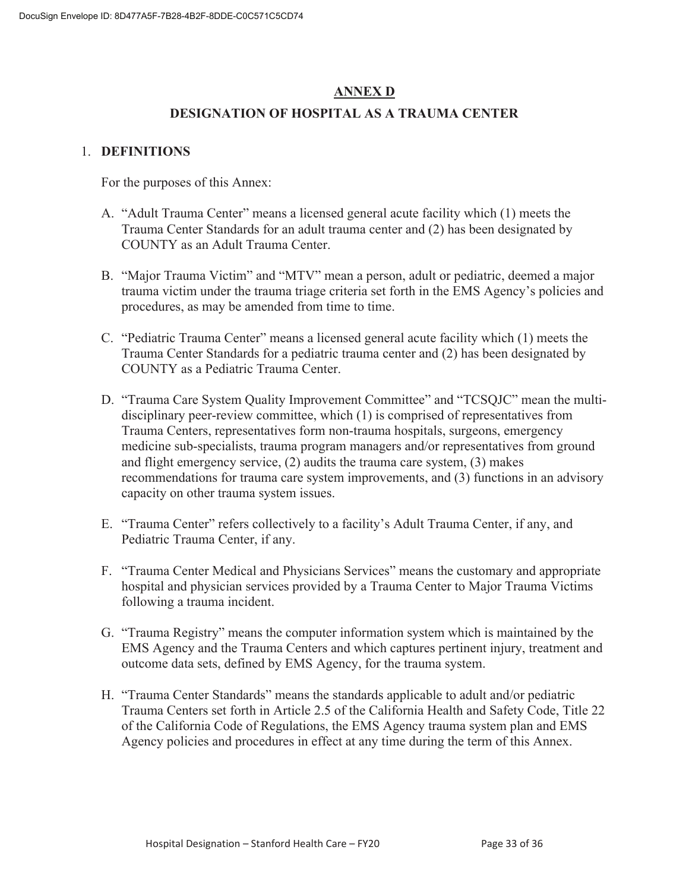#### **ANNEX D**

#### **DESIGNATION OF HOSPITAL AS A TRAUMA CENTER**

#### 1. **DEFINITIONS**

For the purposes of this Annex:

- A. "Adult Trauma Center" means a licensed general acute facility which (1) meets the Trauma Center Standards for an adult trauma center and (2) has been designated by COUNTY as an Adult Trauma Center.
- B. "Major Trauma Victim" and "MTV" mean a person, adult or pediatric, deemed a major trauma victim under the trauma triage criteria set forth in the EMS Agency's policies and procedures, as may be amended from time to time.
- C. "Pediatric Trauma Center" means a licensed general acute facility which (1) meets the Trauma Center Standards for a pediatric trauma center and (2) has been designated by COUNTY as a Pediatric Trauma Center.
- D. "Trauma Care System Quality Improvement Committee" and "TCSQJC" mean the multidisciplinary peer-review committee, which (1) is comprised of representatives from Trauma Centers, representatives form non-trauma hospitals, surgeons, emergency medicine sub-specialists, trauma program managers and/or representatives from ground and flight emergency service, (2) audits the trauma care system, (3) makes recommendations for trauma care system improvements, and (3) functions in an advisory capacity on other trauma system issues.
- E. "Trauma Center" refers collectively to a facility's Adult Trauma Center, if any, and Pediatric Trauma Center, if any.
- F. "Trauma Center Medical and Physicians Services" means the customary and appropriate hospital and physician services provided by a Trauma Center to Major Trauma Victims following a trauma incident.
- G. "Trauma Registry" means the computer information system which is maintained by the EMS Agency and the Trauma Centers and which captures pertinent injury, treatment and outcome data sets, defined by EMS Agency, for the trauma system.
- H. "Trauma Center Standards" means the standards applicable to adult and/or pediatric Trauma Centers set forth in Article 2.5 of the California Health and Safety Code, Title 22 of the California Code of Regulations, the EMS Agency trauma system plan and EMS Agency policies and procedures in effect at any time during the term of this Annex.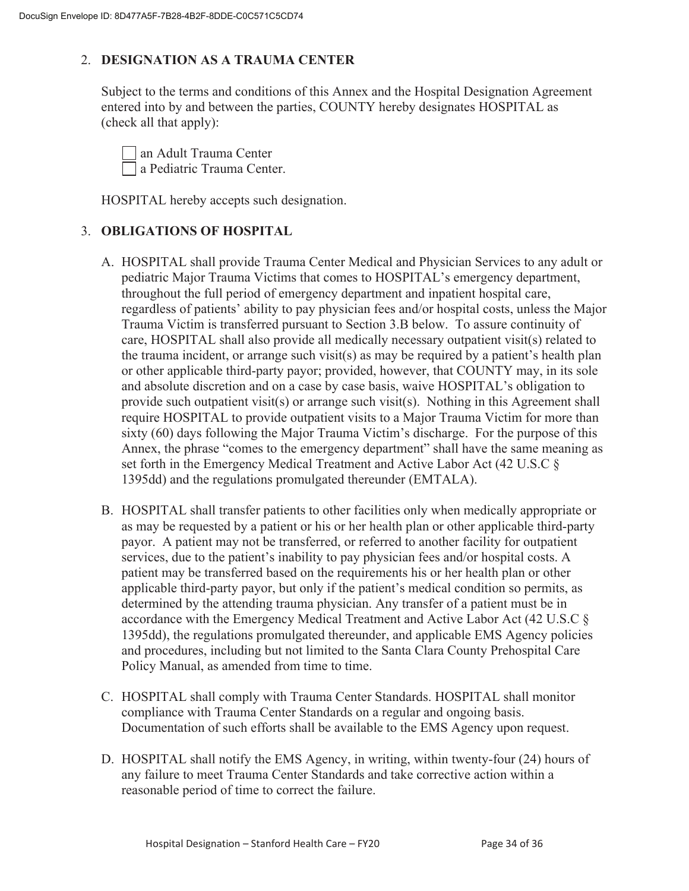#### 2. **DESIGNATION AS A TRAUMA CENTER**

Subject to the terms and conditions of this Annex and the Hospital Designation Agreement entered into by and between the parties, COUNTY hereby designates HOSPITAL as (check all that apply):

 an Adult Trauma Center a Pediatric Trauma Center.

HOSPITAL hereby accepts such designation.

#### 3. **OBLIGATIONS OF HOSPITAL**

- A. HOSPITAL shall provide Trauma Center Medical and Physician Services to any adult or pediatric Major Trauma Victims that comes to HOSPITAL's emergency department, throughout the full period of emergency department and inpatient hospital care, regardless of patients' ability to pay physician fees and/or hospital costs, unless the Major Trauma Victim is transferred pursuant to Section 3.B below. To assure continuity of care, HOSPITAL shall also provide all medically necessary outpatient visit(s) related to the trauma incident, or arrange such visit(s) as may be required by a patient's health plan or other applicable third-party payor; provided, however, that COUNTY may, in its sole and absolute discretion and on a case by case basis, waive HOSPITAL's obligation to provide such outpatient visit(s) or arrange such visit(s). Nothing in this Agreement shall require HOSPITAL to provide outpatient visits to a Major Trauma Victim for more than sixty (60) days following the Major Trauma Victim's discharge. For the purpose of this Annex, the phrase "comes to the emergency department" shall have the same meaning as set forth in the Emergency Medical Treatment and Active Labor Act (42 U.S.C § 1395dd) and the regulations promulgated thereunder (EMTALA).
- B. HOSPITAL shall transfer patients to other facilities only when medically appropriate or as may be requested by a patient or his or her health plan or other applicable third-party payor. A patient may not be transferred, or referred to another facility for outpatient services, due to the patient's inability to pay physician fees and/or hospital costs. A patient may be transferred based on the requirements his or her health plan or other applicable third-party payor, but only if the patient's medical condition so permits, as determined by the attending trauma physician. Any transfer of a patient must be in accordance with the Emergency Medical Treatment and Active Labor Act (42 U.S.C § 1395dd), the regulations promulgated thereunder, and applicable EMS Agency policies and procedures, including but not limited to the Santa Clara County Prehospital Care Policy Manual, as amended from time to time.
- C. HOSPITAL shall comply with Trauma Center Standards. HOSPITAL shall monitor compliance with Trauma Center Standards on a regular and ongoing basis. Documentation of such efforts shall be available to the EMS Agency upon request.
- D. HOSPITAL shall notify the EMS Agency, in writing, within twenty-four (24) hours of any failure to meet Trauma Center Standards and take corrective action within a reasonable period of time to correct the failure.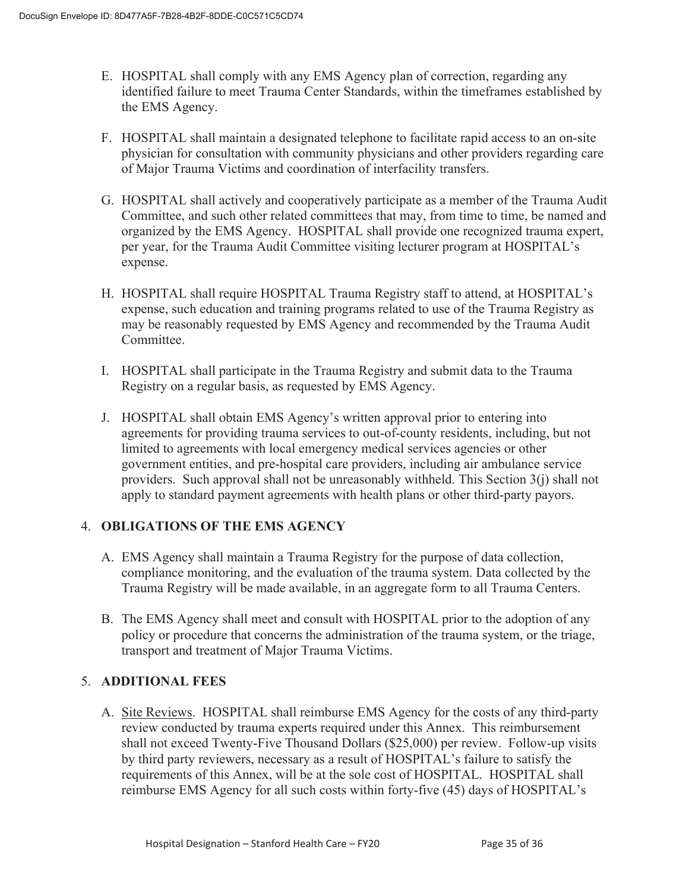- E. HOSPITAL shall comply with any EMS Agency plan of correction, regarding any identified failure to meet Trauma Center Standards, within the timeframes established by the EMS Agency.
- F. HOSPITAL shall maintain a designated telephone to facilitate rapid access to an on-site physician for consultation with community physicians and other providers regarding care of Major Trauma Victims and coordination of interfacility transfers.
- G. HOSPITAL shall actively and cooperatively participate as a member of the Trauma Audit Committee, and such other related committees that may, from time to time, be named and organized by the EMS Agency. HOSPITAL shall provide one recognized trauma expert, per year, for the Trauma Audit Committee visiting lecturer program at HOSPITAL's expense.
- H. HOSPITAL shall require HOSPITAL Trauma Registry staff to attend, at HOSPITAL's expense, such education and training programs related to use of the Trauma Registry as may be reasonably requested by EMS Agency and recommended by the Trauma Audit Committee.
- I. HOSPITAL shall participate in the Trauma Registry and submit data to the Trauma Registry on a regular basis, as requested by EMS Agency.
- J. HOSPITAL shall obtain EMS Agency's written approval prior to entering into agreements for providing trauma services to out-of-county residents, including, but not limited to agreements with local emergency medical services agencies or other government entities, and pre-hospital care providers, including air ambulance service providers. Such approval shall not be unreasonably withheld. This Section  $3(i)$  shall not apply to standard payment agreements with health plans or other third-party payors.

#### 4. **OBLIGATIONS OF THE EMS AGENCY**

- A. EMS Agency shall maintain a Trauma Registry for the purpose of data collection, compliance monitoring, and the evaluation of the trauma system. Data collected by the Trauma Registry will be made available, in an aggregate form to all Trauma Centers.
- B. The EMS Agency shall meet and consult with HOSPITAL prior to the adoption of any policy or procedure that concerns the administration of the trauma system, or the triage, transport and treatment of Major Trauma Victims.

#### 5. **ADDITIONAL FEES**

A. Site Reviews. HOSPITAL shall reimburse EMS Agency for the costs of any third-party review conducted by trauma experts required under this Annex. This reimbursement shall not exceed Twenty-Five Thousand Dollars (\$25,000) per review. Follow-up visits by third party reviewers, necessary as a result of HOSPITAL's failure to satisfy the requirements of this Annex, will be at the sole cost of HOSPITAL. HOSPITAL shall reimburse EMS Agency for all such costs within forty-five (45) days of HOSPITAL's